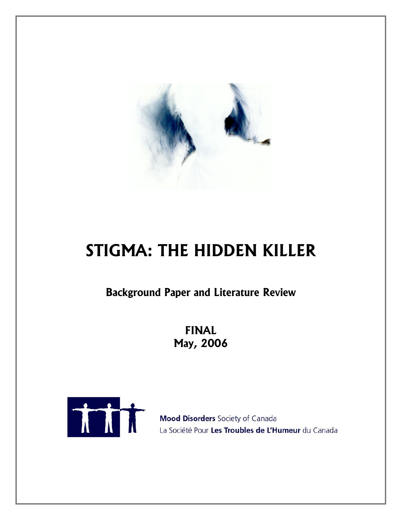

# **STIGMA: THE HIDDEN KILLER**

**Background Paper and Literature Review** 

**FINAL May, 2006** 



Mood Disorders Society of Canada La Société Pour Les Troubles de L'Humeur du Canada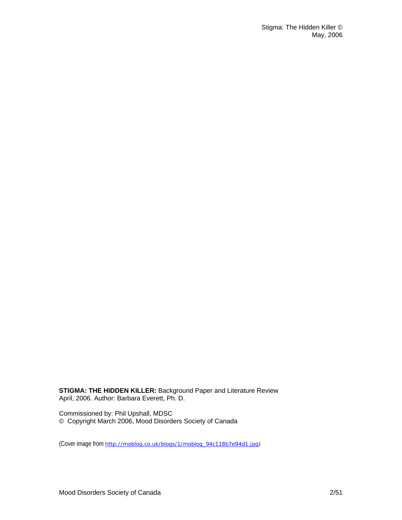**STIGMA: THE HIDDEN KILLER:** Background Paper and Literature Review April, 2006. Author: Barbara Everett, Ph. D.

Commissioned by: Phil Upshall, MDSC © Copyright March 2006, Mood Disorders Society of Canada

(Cover image from [http://moblog.co.uk/blogs/1/moblog\\_94c118b7e94d1.jpg\)](http://moblog.co.uk/blogs/1/moblog_94c118b7e94d1.jpg)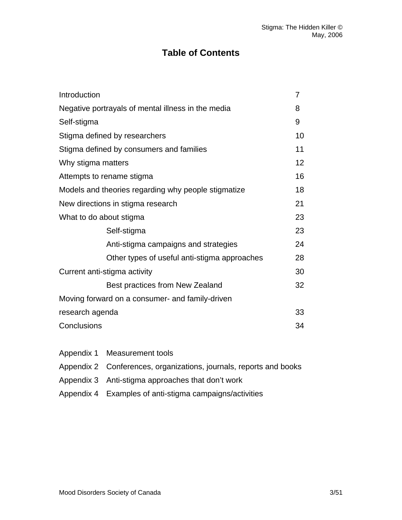# **Table of Contents**

| Introduction                                        | $\overline{7}$ |
|-----------------------------------------------------|----------------|
| Negative portrayals of mental illness in the media  | 8              |
| Self-stigma                                         | 9              |
| Stigma defined by researchers                       | 10             |
| Stigma defined by consumers and families            | 11             |
| Why stigma matters                                  | 12             |
| Attempts to rename stigma                           | 16             |
| Models and theories regarding why people stigmatize | 18             |
| New directions in stigma research                   | 21             |
| What to do about stigma                             | 23             |
| Self-stigma                                         | 23             |
| Anti-stigma campaigns and strategies                | 24             |
| Other types of useful anti-stigma approaches        | 28             |
| Current anti-stigma activity                        | 30             |
| Best practices from New Zealand                     | 32             |
| Moving forward on a consumer- and family-driven     |                |
| research agenda                                     | 33             |
| Conclusions                                         | 34             |

- Appendix 1 Measurement tools
- Appendix 2 Conferences, organizations, journals, reports and books
- Appendix 3 Anti-stigma approaches that don't work
- Appendix 4 Examples of anti-stigma campaigns/activities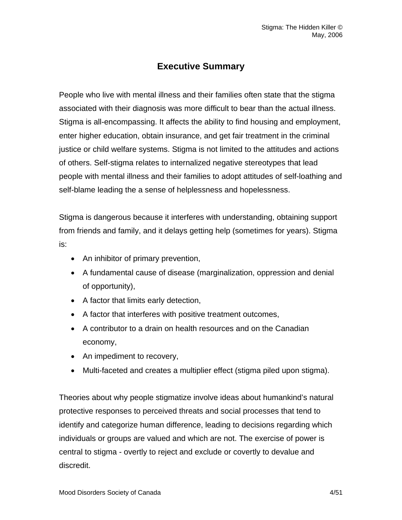# **Executive Summary**

People who live with mental illness and their families often state that the stigma associated with their diagnosis was more difficult to bear than the actual illness. Stigma is all-encompassing. It affects the ability to find housing and employment, enter higher education, obtain insurance, and get fair treatment in the criminal justice or child welfare systems. Stigma is not limited to the attitudes and actions of others. Self-stigma relates to internalized negative stereotypes that lead people with mental illness and their families to adopt attitudes of self-loathing and self-blame leading the a sense of helplessness and hopelessness.

Stigma is dangerous because it interferes with understanding, obtaining support from friends and family, and it delays getting help (sometimes for years). Stigma is:

- An inhibitor of primary prevention,
- A fundamental cause of disease (marginalization, oppression and denial of opportunity),
- A factor that limits early detection,
- A factor that interferes with positive treatment outcomes,
- A contributor to a drain on health resources and on the Canadian economy,
- An impediment to recovery,
- Multi-faceted and creates a multiplier effect (stigma piled upon stigma).

Theories about why people stigmatize involve ideas about humankind's natural protective responses to perceived threats and social processes that tend to identify and categorize human difference, leading to decisions regarding which individuals or groups are valued and which are not. The exercise of power is central to stigma - overtly to reject and exclude or covertly to devalue and discredit.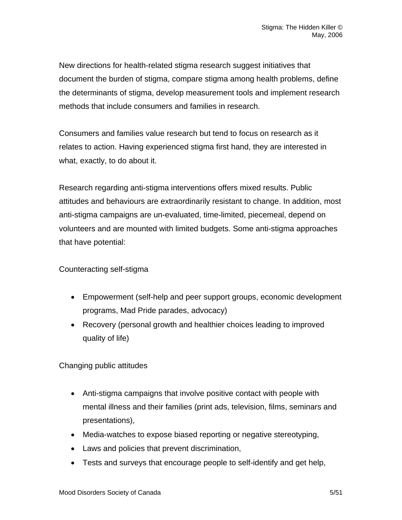New directions for health-related stigma research suggest initiatives that document the burden of stigma, compare stigma among health problems, define the determinants of stigma, develop measurement tools and implement research methods that include consumers and families in research.

Consumers and families value research but tend to focus on research as it relates to action. Having experienced stigma first hand, they are interested in what, exactly, to do about it.

Research regarding anti-stigma interventions offers mixed results. Public attitudes and behaviours are extraordinarily resistant to change. In addition, most anti-stigma campaigns are un-evaluated, time-limited, piecemeal, depend on volunteers and are mounted with limited budgets. Some anti-stigma approaches that have potential:

# Counteracting self-stigma

- Empowerment (self-help and peer support groups, economic development programs, Mad Pride parades, advocacy)
- Recovery (personal growth and healthier choices leading to improved quality of life)

Changing public attitudes

- Anti-stigma campaigns that involve positive contact with people with mental illness and their families (print ads, television, films, seminars and presentations),
- Media-watches to expose biased reporting or negative stereotyping,
- Laws and policies that prevent discrimination,
- Tests and surveys that encourage people to self-identify and get help,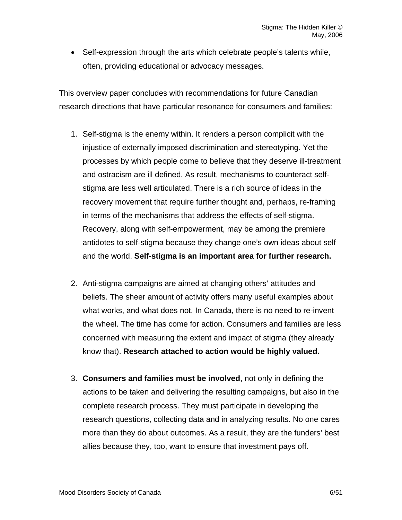• Self-expression through the arts which celebrate people's talents while, often, providing educational or advocacy messages.

This overview paper concludes with recommendations for future Canadian research directions that have particular resonance for consumers and families:

- 1. Self-stigma is the enemy within. It renders a person complicit with the injustice of externally imposed discrimination and stereotyping. Yet the processes by which people come to believe that they deserve ill-treatment and ostracism are ill defined. As result, mechanisms to counteract selfstigma are less well articulated. There is a rich source of ideas in the recovery movement that require further thought and, perhaps, re-framing in terms of the mechanisms that address the effects of self-stigma. Recovery, along with self-empowerment, may be among the premiere antidotes to self-stigma because they change one's own ideas about self and the world. **Self-stigma is an important area for further research.**
- 2. Anti-stigma campaigns are aimed at changing others' attitudes and beliefs. The sheer amount of activity offers many useful examples about what works, and what does not. In Canada, there is no need to re-invent the wheel. The time has come for action. Consumers and families are less concerned with measuring the extent and impact of stigma (they already know that). **Research attached to action would be highly valued.**
- 3. **Consumers and families must be involved**, not only in defining the actions to be taken and delivering the resulting campaigns, but also in the complete research process. They must participate in developing the research questions, collecting data and in analyzing results. No one cares more than they do about outcomes. As a result, they are the funders' best allies because they, too, want to ensure that investment pays off.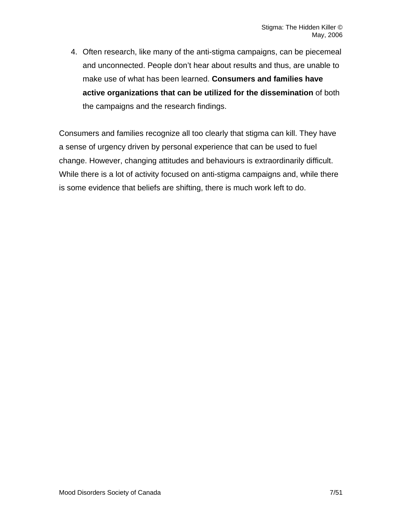4. Often research, like many of the anti-stigma campaigns, can be piecemeal and unconnected. People don't hear about results and thus, are unable to make use of what has been learned. **Consumers and families have active organizations that can be utilized for the dissemination** of both the campaigns and the research findings.

Consumers and families recognize all too clearly that stigma can kill. They have a sense of urgency driven by personal experience that can be used to fuel change. However, changing attitudes and behaviours is extraordinarily difficult. While there is a lot of activity focused on anti-stigma campaigns and, while there is some evidence that beliefs are shifting, there is much work left to do.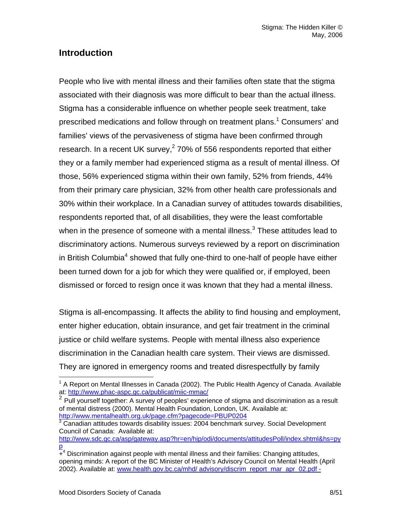# **Introduction**

People who live with mental illness and their families often state that the stigma associated with their diagnosis was more difficult to bear than the actual illness. Stigma has a considerable influence on whether people seek treatment, take prescribed medications and follow through on treatment plans.<sup>[1](#page-7-0)</sup> Consumers' and families' views of the pervasiveness of stigma have been confirmed through research.In a recent UK survey, $2$  70% of 556 respondents reported that either they or a family member had experienced stigma as a result of mental illness. Of those, 56% experienced stigma within their own family, 52% from friends, 44% from their primary care physician, 32% from other health care professionals and 30% within their workplace. In a Canadian survey of attitudes towards disabilities, respondents reported that, of all disabilities, they were the least comfortable when in the presence of someone with a mental illness.<sup>3</sup> These attitudes lead to discriminatory actions. Numerous surveys reviewed by a report on discrimination in British Columbia<sup>[4](#page-7-3)</sup> showed that fully one-third to one-half of people have either been turned down for a job for which they were qualified or, if employed, been dismissed or forced to resign once it was known that they had a mental illness.

Stigma is all-encompassing. It affects the ability to find housing and employment, enter higher education, obtain insurance, and get fair treatment in the criminal justice or child welfare systems. People with mental illness also experience discrimination in the Canadian health care system. Their views are dismissed. They are ignored in emergency rooms and treated disrespectfully by family

<span id="page-7-0"></span> <sup>1</sup> A Report on Mental Illnesses in Canada (2002). The Public Health Agency of Canada. Available at: <http://www.phac-aspc.gc.ca/publicat/miic-mmac/><br>
<sup>2</sup> Pull yourself together: A survey of peoples' experience of stigma and discrimination as a result

<span id="page-7-1"></span>of mental distress (2000). Mental Health Foundation, London, UK. Available at: <http://www.mentalhealth.org.uk/page.cfm?pagecode=PBUP0204> [3](http://www.mentalhealth.org.uk/page.cfm?pagecode=PBUP0204)

<span id="page-7-2"></span>Canadian attitudes towards disability issues: 2004 benchmark survey. Social Development Council of Canada: Available at:

[http://www.sdc.gc.ca/asp/gateway.asp?hr=en/hip/odi/documents/attitudesPoll/index.shtml&hs=py](http://www.sdc.gc.ca/asp/gateway.asp?hr=en/hip/odi/documents/attitudesPoll/index.shtml&hs=pyp) [p](http://www.sdc.gc.ca/asp/gateway.asp?hr=en/hip/odi/documents/attitudesPoll/index.shtml&hs=pyp)

<span id="page-7-3"></span> $\overline{+}^4$  Discrimination against people with mental illness and their families: Changing attitudes, opening minds: A report of the BC Minister of Health's Advisory Council on Mental Health (April 2002). Available at: www.health.gov.bc.ca/mhd/ advisory/discrim\_report\_mar\_apr\_02.pdf -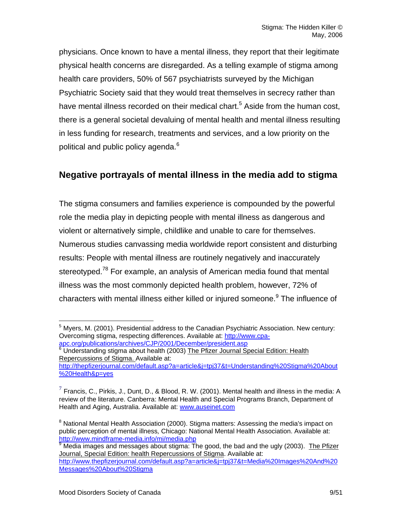physicians. Once known to have a mental illness, they report that their legitimate physical health concerns are disregarded. As a telling example of stigma among health care providers, 50% of 567 psychiatrists surveyed by the Michigan Psychiatric Society said that they would treat themselves in secrecy rather than have mental illness recorded on their medical chart.<sup>[5](#page-8-0)</sup> Aside from the human cost, there is a general societal devaluing of mental health and mental illness resulting in less funding for research, treatments and services, and a low priority on the political and public policy agenda. $^6$  $^6$ 

# **Negative portrayals of mental illness in the media add to stigma**

The stigma consumers and families experience is compounded by the powerful role the media play in depicting people with mental illness as dangerous and violent or alternatively simple, childlike and unable to care for themselves. Numerous studies canvassing media worldwide report consistent and disturbing results: People with mental illness are routinely negatively and inaccurately stereotyped.<sup>[7](#page-8-2)8</sup> For example, an analysis of American media found that mental illness was the most commonly depicted health problem, however, 72% of characters with mental illness either killed or injured someone.<sup>[9](#page-8-4)</sup> The influence of

<span id="page-8-0"></span> <sup>5</sup> Myers, M. (2001). Presidential address to the Canadian Psychiatric Association. New century: Overcoming stigma, respecting differences. Available at: [http://www.cpa-](http://www.cpa-apc.org/publications/archives/CJP/2001/December/president.asp)

<span id="page-8-1"></span><sup>&</sup>lt;mark>[apc.org/publications/archives/CJP/2001/December/president.asp](http://www.cpa-apc.org/publications/archives/CJP/2001/December/president.asp)</mark><br><sup>[6](http://www.cpa-apc.org/publications/archives/CJP/2001/December/president.asp)</sup> Understanding stigma about health (2003) <u>The Pfizer Journal Special Edition: Health</u> Repercussions of Stigma. Available at:

[http://thepfizerjournal.com/default.asp?a=article&j=tpj37&t=Understanding%20Stigma%20About](http://thepfizerjournal.com/default.asp?a=article&j=tpj37&t=Understanding%20Stigma%20About%20Health&p=yes) [%20Health&p=yes](http://thepfizerjournal.com/default.asp?a=article&j=tpj37&t=Understanding%20Stigma%20About%20Health&p=yes) 

<span id="page-8-2"></span> $<sup>7</sup>$  Francis, C., Pirkis, J., Dunt, D., & Blood, R. W. (2001). Mental health and illness in the media: A</sup> review of the literature. Canberra: Mental Health and Special Programs Branch, Department of Health and Aging, Australia. Available at: [www.auseinet.com](http://www.auseinet.com/) 

<span id="page-8-3"></span><sup>&</sup>lt;sup>8</sup> National Mental Health Association (2000). Stigma matters: Assessing the media's impact on public perception of mental illness*,* Chicago: National Mental Health Association. Available at: [http://www.mindframe-media.info/mi/media.php 9](http://www.mindframe-media.info/mi/media.php)

<span id="page-8-4"></span> $\frac{9}{9}$  Media images and messages about stigma: The good, the bad and the ugly (2003). The Pfizer Journal, Special Edition: health Repercussions of Stigma. Available at: [http://www.thepfizerjournal.com/default.asp?a=article&j=tpj37&t=Media%20Images%20And%20](http://www.thepfizerjournal.com/default.asp?a=article&j=tpj37&t=Media%20Images%20And%20Messages%20About%20Stigma) [Messages%20About%20Stigma](http://www.thepfizerjournal.com/default.asp?a=article&j=tpj37&t=Media%20Images%20And%20Messages%20About%20Stigma)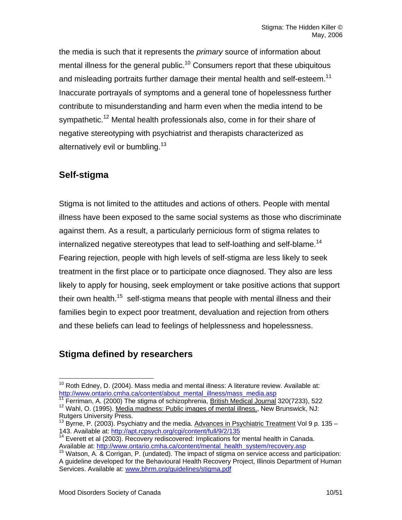the media is such that it represents the *primary* source of information about mental illness for the general public.<sup>10</sup> Consumers report that these ubiquitous and misleading portraits further damage their mental health and self-esteem.<sup>[11](#page-9-1)</sup> Inaccurate portrayals of symptoms and a general tone of hopelessness further contribute to misunderstanding and harm even when the media intend to be sympathetic.<sup>12</sup> Mental health professionals also, come in for their share of negative stereotyping with psychiatrist and therapists characterized as alternatively evil or bumbling.<sup>13</sup>

# **Self-stigma**

Stigma is not limited to the attitudes and actions of others. People with mental illness have been exposed to the same social systems as those who discriminate against them. As a result, a particularly pernicious form of stigma relates to internalized negative stereotypes that lead to self-loathing and self-blame.<sup>[14](#page-9-4)</sup> Fearing rejection, people with high levels of self-stigma are less likely to seek treatment in the first place or to participate once diagnosed. They also are less likely to apply for housing, seek employment or take positive actions that support their own health.<sup>15</sup> self-stigma means that people with mental illness and their families begin to expect poor treatment, devaluation and rejection from others and these beliefs can lead to feelings of helplessness and hopelessness.

# **Stigma defined by researchers**

<span id="page-9-1"></span>

<span id="page-9-0"></span> $10$  Roth Edney, D. (2004). Mass media and mental illness: A literature review. Available at: [http://www.ontario.cmha.ca/content/about\\_mental\\_illness/mass\\_media.asp](http://www.ontario.cmha.ca/content/about_mental_illness/mass_media.asp)<br><sup>[11](http://www.ontario.cmha.ca/content/about_mental_illness/mass_media.asp)</sup> Ferriman, A. (2000) The stigma of schizophrenia, <u>British Medical Journal</u> 320(7233), 522

<span id="page-9-2"></span> $12$  Wahl, O. (1995). Media madness: Public images of mental illness., New Brunswick, NJ: Rutgers University Press.

<span id="page-9-3"></span><sup>&</sup>lt;sup>13</sup> Byrne, P. (2003). Psychiatry and the media. Advances in Psychiatric Treatment Vol 9 p. 135 –<br>143. Available at: http://apt.rcpsych.org/cgi/content/full/9/2/135

<span id="page-9-4"></span><sup>&</sup>lt;sup>14</sup> Everett et al (2003). Recovery rediscovered: Implications for mental health in Canada.<br>Available at: http://www.ontario.cmha.ca/content/mental health system/recovery.asp

<span id="page-9-5"></span> $15$  Watson, A. & Corrigan, P. (undated). The impact of stigma on service access and participation: A guideline developed for the Behavioural Health Recovery Project, Illinois Department of Human Services. Available at: [www.bhrm.org/guidelines/stigma.pdf](http://www.bhrm.org/guidelines/stigma.pdf)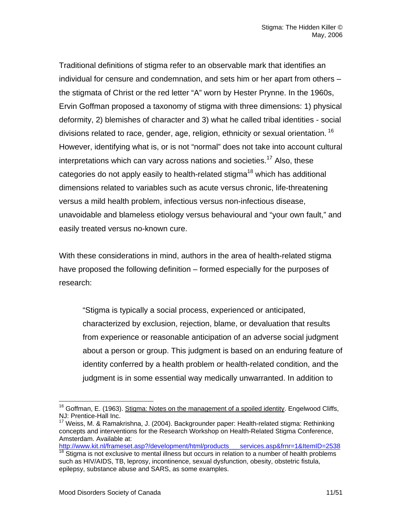Traditional definitions of stigma refer to an observable mark that identifies an individual for censure and condemnation, and sets him or her apart from others – the stigmata of Christ or the red letter "A" worn by Hester Prynne. In the 1960s, Ervin Goffman proposed a taxonomy of stigma with three dimensions: 1) physical deformity, 2) blemishes of character and 3) what he called tribal identities - social divisions related to race, gender, age, religion, ethnicity or sexual orientation.<sup>[16](#page-10-0)</sup> However, identifying what is, or is not "normal" does not take into account cultural interpretations which can vary across nations and societies.<sup>17</sup> Also, these categories do not apply easily to health-related stigma<sup>18</sup> which has additional dimensions related to variables such as acute versus chronic, life-threatening versus a mild health problem, infectious versus non-infectious disease, unavoidable and blameless etiology versus behavioural and "your own fault," and easily treated versus no-known cure.

With these considerations in mind, authors in the area of health-related stigma have proposed the following definition – formed especially for the purposes of research:

"Stigma is typically a social process, experienced or anticipated, characterized by exclusion, rejection, blame, or devaluation that results from experience or reasonable anticipation of an adverse social judgment about a person or group. This judgment is based on an enduring feature of identity conferred by a health problem or health-related condition, and the judgment is in some essential way medically unwarranted. In addition to

<span id="page-10-2"></span>[http://www.kit.nl/frameset.asp?/development/html/products\\_\\_\\_services.asp&frnr=1&ItemID=2538](http://www.kit.nl/frameset.asp?/development/html/products___services.asp&frnr=1&ItemID=2538)  $18$  Stigma is not exclusive to mental illness but occurs in relation to a number of health problems such as HIV/AIDS, TB, leprosy, incontinence, sexual dysfunction, obesity, obstetric fistula, epilepsy, substance abuse and SARS, as some examples.

<span id="page-10-0"></span> $16$  Goffman, E. (1963). Stigma: Notes on the management of a spoiled identity. Engelwood Cliffs, NJ: Prentice-Hall Inc.<br><sup>17</sup> Weiss, M. & Ramakrishna, J. (2004). Backgrounder paper: Health-related stigma: Rethinking

<span id="page-10-1"></span>concepts and interventions for the Research Workshop on Health-Related Stigma Conference, Amsterdam. Available at: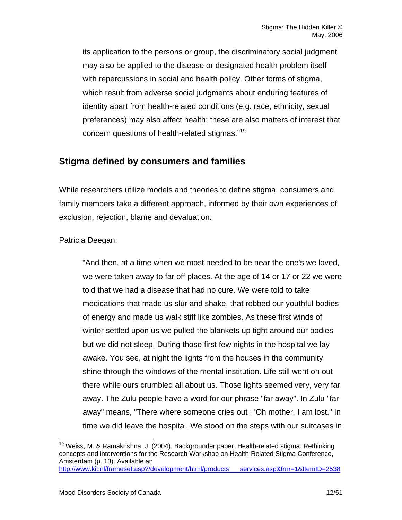its application to the persons or group, the discriminatory social judgment may also be applied to the disease or designated health problem itself with repercussions in social and health policy. Other forms of stigma, which result from adverse social judgments about enduring features of identity apart from health-related conditions (e.g. race, ethnicity, sexual preferences) may also affect health; these are also matters of interest that concern questions of health-related stigmas.["19](#page-11-0)

# **Stigma defined by consumers and families**

While researchers utilize models and theories to define stigma, consumers and family members take a different approach, informed by their own experiences of exclusion, rejection, blame and devaluation.

Patricia Deegan:

"And then, at a time when we most needed to be near the one's we loved, we were taken away to far off places. At the age of 14 or 17 or 22 we were told that we had a disease that had no cure. We were told to take medications that made us slur and shake, that robbed our youthful bodies of energy and made us walk stiff like zombies. As these first winds of winter settled upon us we pulled the blankets up tight around our bodies but we did not sleep. During those first few nights in the hospital we lay awake. You see, at night the lights from the houses in the community shine through the windows of the mental institution. Life still went on out there while ours crumbled all about us. Those lights seemed very, very far away. The Zulu people have a word for our phrase "far away". In Zulu "far away" means, "There where someone cries out : 'Oh mother, I am lost." In time we did leave the hospital. We stood on the steps with our suitcases in

<span id="page-11-0"></span><sup>&</sup>lt;sup>19</sup> Weiss, M. & Ramakrishna, J. (2004). Backgrounder paper: Health-related stigma: Rethinking concepts and interventions for the Research Workshop on Health-Related Stigma Conference, Amsterdam (p. 13). Available at:

[http://www.kit.nl/frameset.asp?/development/html/products\\_\\_\\_services.asp&frnr=1&ItemID=2538](http://www.kit.nl/frameset.asp?/development/html/products___services.asp&frnr=1&ItemID=2538)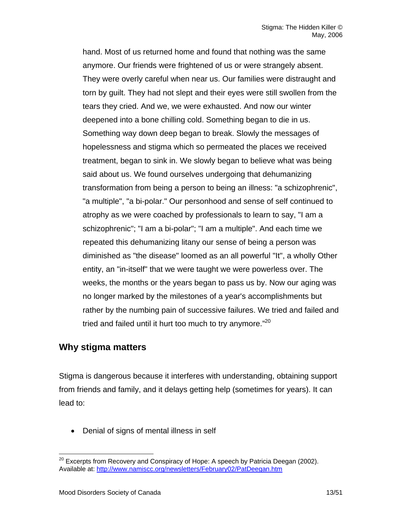hand. Most of us returned home and found that nothing was the same anymore. Our friends were frightened of us or were strangely absent. They were overly careful when near us. Our families were distraught and torn by guilt. They had not slept and their eyes were still swollen from the tears they cried. And we, we were exhausted. And now our winter deepened into a bone chilling cold. Something began to die in us. Something way down deep began to break. Slowly the messages of hopelessness and stigma which so permeated the places we received treatment, began to sink in. We slowly began to believe what was being said about us. We found ourselves undergoing that dehumanizing transformation from being a person to being an illness: "a schizophrenic", "a multiple", "a bi-polar." Our personhood and sense of self continued to atrophy as we were coached by professionals to learn to say, "I am a schizophrenic"; "I am a bi-polar"; "I am a multiple". And each time we repeated this dehumanizing litany our sense of being a person was diminished as "the disease" loomed as an all powerful "It", a wholly Other entity, an "in-itself" that we were taught we were powerless over. The weeks, the months or the years began to pass us by. Now our aging was no longer marked by the milestones of a year's accomplishments but rather by the numbing pain of successive failures. We tried and failed and tried and failed until it hurt too much to try anymore."<sup>[20](#page-12-0)</sup>

# **Why stigma matters**

Stigma is dangerous because it interferes with understanding, obtaining support from friends and family, and it delays getting help (sometimes for years). It can lead to:

• Denial of signs of mental illness in self

<span id="page-12-0"></span> $20$  Excerpts from Recovery and Conspiracy of Hope: A speech by Patricia Deegan (2002). Available at:<http://www.namiscc.org/newsletters/February02/PatDeegan.htm>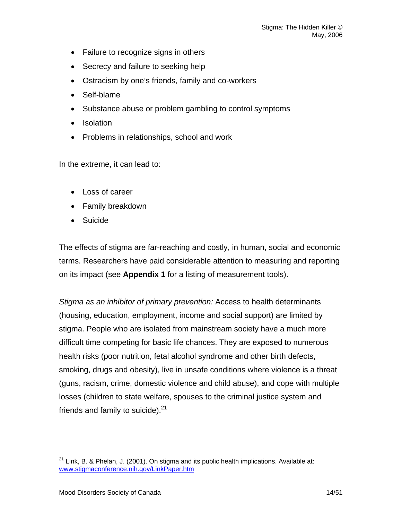- Failure to recognize signs in others
- Secrecy and failure to seeking help
- Ostracism by one's friends, family and co-workers
- Self-blame
- Substance abuse or problem gambling to control symptoms
- Isolation
- Problems in relationships, school and work

In the extreme, it can lead to:

- Loss of career
- Family breakdown
- Suicide

The effects of stigma are far-reaching and costly, in human, social and economic terms. Researchers have paid considerable attention to measuring and reporting on its impact (see **Appendix 1** for a listing of measurement tools).

*Stigma as an inhibitor of primary prevention:* Access to health determinants (housing, education, employment, income and social support) are limited by stigma. People who are isolated from mainstream society have a much more difficult time competing for basic life chances. They are exposed to numerous health risks (poor nutrition, fetal alcohol syndrome and other birth defects, smoking, drugs and obesity), live in unsafe conditions where violence is a threat (guns, racism, crime, domestic violence and child abuse), and cope with multiple losses (children to state welfare, spouses to the criminal justice system and friends and family to suicide). $21$ 

<span id="page-13-0"></span> $21$  Link, B. & Phelan, J. (2001). On stigma and its public health implications. Available at: [www.stigmaconference.nih.gov/LinkPaper.htm](http://www.stigmaconference.nih.gov/LinkPaper.htm)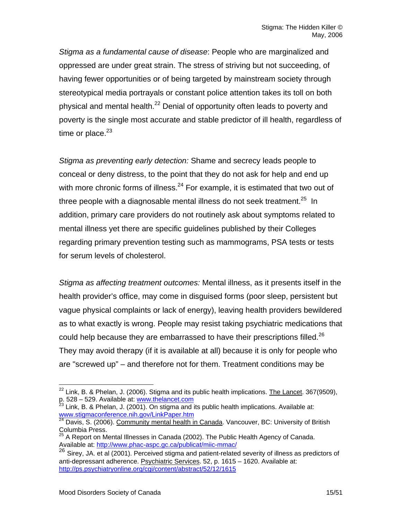*Stigma as a fundamental cause of disease*: People who are marginalized and oppressed are under great strain. The stress of striving but not succeeding, of having fewer opportunities or of being targeted by mainstream society through stereotypical media portrayals or constant police attention takes its toll on both physical and mental health.<sup>22</sup> Denial of opportunity often leads to poverty and poverty is the single most accurate and stable predictor of ill health, regardless of time or place. $23$ 

*Stigma as preventing early detection:* Shame and secrecy leads people to conceal or deny distress, to the point that they do not ask for help and end up with more chronic forms of illness. $^{24}$  For example, it is estimated that two out of three people with a diagnosable mental illness do not seek treatment.<sup>25</sup> In addition, primary care providers do not routinely ask about symptoms related to mental illness yet there are specific guidelines published by their Colleges regarding primary prevention testing such as mammograms, PSA tests or tests for serum levels of cholesterol.

*Stigma as affecting treatment outcomes:* Mental illness, as it presents itself in the health provider's office, may come in disguised forms (poor sleep, persistent but vague physical complaints or lack of energy), leaving health providers bewildered as to what exactly is wrong. People may resist taking psychiatric medications that could help because they are embarrassed to have their prescriptions filled.<sup>[26](#page-14-4)</sup> They may avoid therapy (if it is available at all) because it is only for people who are "screwed up" – and therefore not for them. Treatment conditions may be

<span id="page-14-0"></span> $^{22}$  Link, B. & Phelan, J. (2006). Stigma and its public health implications. The Lancet. 367(9509),

<span id="page-14-1"></span>p. 528 – 529. Available at: [www.thelancet.com](http://www.thelancet.com/)<br>
<sup>23</sup> Link, B. & Phelan, J. (2001). On stigma and its public health implications. Available at:<br>
<u>www.stigmaconference.nih.gov/LinkPaper.htm</u>

<span id="page-14-2"></span>Davis, S. (2006). Community mental health in Canada. Vancouver, BC: University of British Columbia Press.

<span id="page-14-3"></span><sup>25</sup> A Report on Mental Illnesses in Canada (2002). The Public Health Agency of Canada.<br>Available at: http://www.phac-aspc.gc.ca/publicat/miic-mmac/

<span id="page-14-4"></span>Available at: https://www.phace-aspc.aspc.gc.ca/publications.gc.ca/publications/ 26 Sirey, JA. et al (2001). Perceived stigma and patient-related severity of illness as predictors of anti-depressant adherence. Psychiatric Services. 52, p. 1615 – 1620. Available at: <http://ps.psychiatryonline.org/cgi/content/abstract/52/12/1615>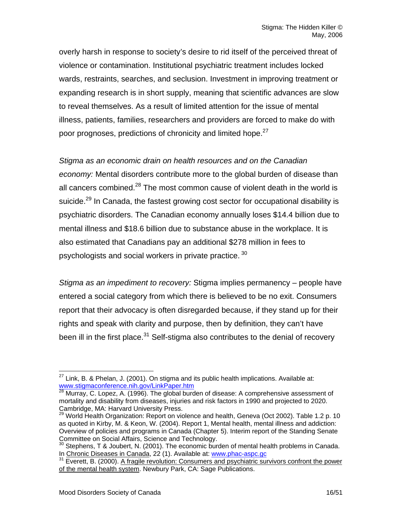overly harsh in response to society's desire to rid itself of the perceived threat of violence or contamination. Institutional psychiatric treatment includes locked wards, restraints, searches, and seclusion. Investment in improving treatment or expanding research is in short supply, meaning that scientific advances are slow to reveal themselves. As a result of limited attention for the issue of mental illness, patients, families, researchers and providers are forced to make do with poor prognoses, predictions of chronicity and limited hope.<sup>27</sup>

*Stigma as an economic drain on health resources and on the Canadian* 

*economy:* Mental disorders contribute more to the global burden of disease than all cancers combined. $^{28}$  The most common cause of violent death in the world is suicide.<sup>29</sup> In Canada, the fastest growing cost sector for occupational disability is psychiatric disorders. The Canadian economy annually loses \$14.4 billion due to mental illness and \$18.6 billion due to substance abuse in the workplace. It is also estimated that Canadians pay an additional \$278 million in fees to psychologists and social workers in private practice. 30

*Stigma as an impediment to recovery:* Stigma implies permanency – people have entered a social category from which there is believed to be no exit. Consumers report that their advocacy is often disregarded because, if they stand up for their rights and speak with clarity and purpose, then by definition, they can't have been ill in the first place.<sup>31</sup> Self-stigma also contributes to the denial of recovery

<span id="page-15-0"></span> $27$  Link, B. & Phelan, J. (2001). On stigma and its public health implications. Available at: www.stigmaconference.nih.gov/LinkPaper.htm<br><sup>28</sup> Murray, C. Lopez, A. (1996). The global burden of disease: A comprehensive assessment of

<span id="page-15-1"></span>mortality and disability from diseases, injuries and risk factors in 1990 and projected to 2020.

<span id="page-15-2"></span><sup>&</sup>lt;sup>29</sup> World Health Organization: Report on violence and health, Geneva (Oct 2002). Table 1.2 p. 10 as quoted in Kirby, M. & Keon, W. (2004). Report 1, Mental health, mental illness and addiction: Overview of policies and programs in Canada (Chapter 5). Interim report of the Standing Senate Committee on Social Affairs, Science and Technology.<br><sup>30</sup> Stephens, T & Joubert, N. (2001). The economic burden of mental health problems in Canada.

<span id="page-15-3"></span>In Chronic Diseases in Canada, 22 (1). Available at: [www.phac-aspc.gc](http://www.phac-aspc.gc/)

<span id="page-15-4"></span><sup>&</sup>lt;sup>31</sup> Everett, B. (2000). A fragile revolution: Consumers and psychiatric survivors confront the power of the mental health system. Newbury Park, CA: Sage Publications.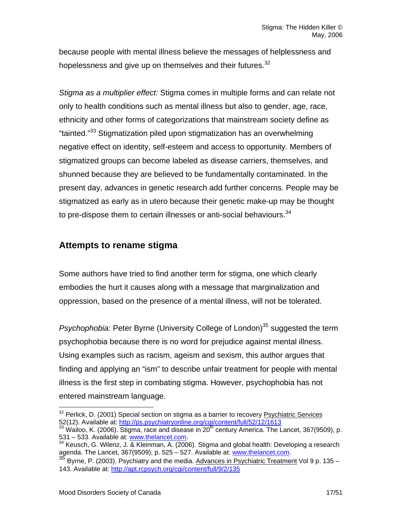because people with mental illness believe the messages of helplessness and hopelessness and give up on themselves and their futures. $32$ 

*Stigma as a multiplier effect:* Stigma comes in multiple forms and can relate not only to health conditions such as mental illness but also to gender, age, race, ethnicity and other forms of categorizations that mainstream society define as "tainted.["33](#page-16-1) Stigmatization piled upon stigmatization has an overwhelming negative effect on identity, self-esteem and access to opportunity. Members of stigmatized groups can become labeled as disease carriers, themselves, and shunned because they are believed to be fundamentally contaminated. In the present day, advances in genetic research add further concerns. People may be stigmatized as early as in utero because their genetic make-up may be thought to pre-dispose them to certain illnesses or anti-social behaviours. $34$ 

# **Attempts to rename stigma**

Some authors have tried to find another term for stigma, one which clearly embodies the hurt it causes along with a message that marginalization and oppression, based on the presence of a mental illness, will not be tolerated.

*Psychophobia:* Peter Byrne (University College of London)<sup>35</sup> suggested the term psychophobia because there is no word for prejudice against mental illness. Using examples such as racism, ageism and sexism, this author argues that finding and applying an "ism" to describe unfair treatment for people with mental illness is the first step in combating stigma. However, psychophobia has not entered mainstream language.

<span id="page-16-0"></span> $32$  Perlick, D. (2001) Special section on stigma as a barrier to recovery *Psychiatric Services* 52(12). Available at: http://ps.psychiatryonline.org/cgi/content/full/52/12/1613

<span id="page-16-1"></span> $\frac{33}{3}$  Wailoo, K. (2006). Stigma, race and disease in 20<sup>th</sup> century America. The Lancet, 367(9509), p.

<span id="page-16-2"></span><sup>531 – 533.</sup> Available at: [www.thelancet.com.](http://www.thelancet.com/)<br><sup>34</sup> Keusch, G. Wilenz, J. [& Kleinman, A. \(200](http://www.thelancet.com/)6). Stigma and global health: Developing a research<br>agenda. The Lancet, 367(9509), p. 525 – 527. Available at: www.thelancet.com.

<span id="page-16-3"></span><sup>&</sup>lt;sup>35</sup> Byrne, P. (2003). Psychiatry and the media. Advances in Psychiatric Treatment Vol 9 p. 135 – 143. Available at:<http://apt.rcpsych.org/cgi/content/full/9/2/135>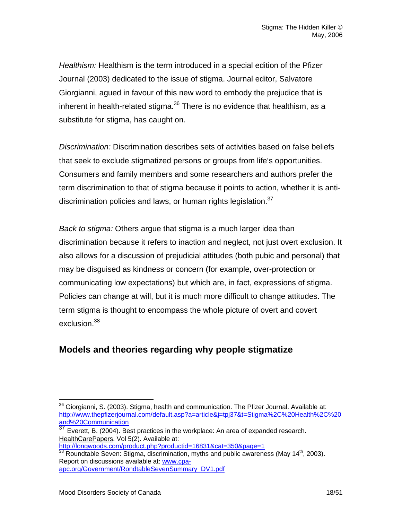*Healthism:* Healthism is the term introduced in a special edition of the Pfizer Journal (2003) dedicated to the issue of stigma. Journal editor, Salvatore Giorgianni, agued in favour of this new word to embody the prejudice that is inherent in health-related stigma. $36$  There is no evidence that healthism, as a substitute for stigma, has caught on.

*Discrimination:* Discrimination describes sets of activities based on false beliefs that seek to exclude stigmatized persons or groups from life's opportunities. Consumers and family members and some researchers and authors prefer the term discrimination to that of stigma because it points to action, whether it is antidiscrimination policies and laws, or human rights legislation. $37$ 

*Back to stigma:* Others argue that stigma is a much larger idea than discrimination because it refers to inaction and neglect, not just overt exclusion. It also allows for a discussion of prejudicial attitudes (both pubic and personal) that may be disguised as kindness or concern (for example, over-protection or communicating low expectations) but which are, in fact, expressions of stigma. Policies can change at will, but it is much more difficult to change attitudes. The term stigma is thought to encompass the whole picture of overt and covert exclusion.<sup>[38](#page-17-2)</sup>

# **Models and theories regarding why people stigmatize**

<span id="page-17-2"></span> $\frac{38}{18}$  $\frac{38}{18}$  $\frac{38}{18}$  Roundtable Seven: Stigma, discrimination, myths and public awareness (May 14<sup>th</sup>, 2003). Report on discussions available at: [www.cpa](http://www.cpa-apc.org/Government/RondtableSevenSummary_DV1.pdf)[apc.org/Government/RondtableSevenSummary\\_DV1.pdf](http://www.cpa-apc.org/Government/RondtableSevenSummary_DV1.pdf)

<span id="page-17-0"></span> $36$  Giorgianni, S. (2003). Stigma, health and communication. The Pfizer Journal. Available at: [http://www.thepfizerjournal.com/default.asp?a=article&j=tpj37&t=Stigma%2C%20Health%2C%20](http://www.thepfizerjournal.com/default.asp?a=article&j=tpj37&t=Stigma%2C%20Health%2C%20and%20Communication)<br>and%20Communication<br>37 Eugenth B (2004) B (1004)

<span id="page-17-1"></span>Everett, B. (2004). Best practices in the workplace: An area of expanded research. HealthCarePapers. Vol 5(2). Available at:<br>http://longwoods.com/product.php?productid=16831&cat=350&page=1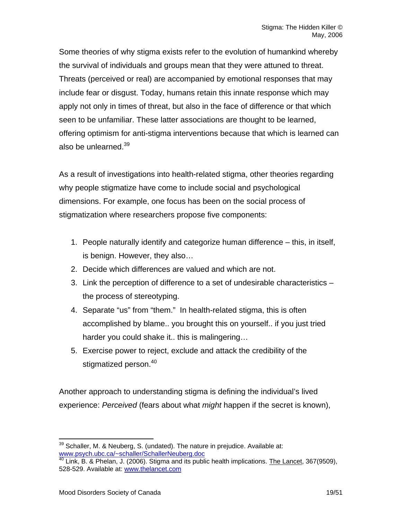Some theories of why stigma exists refer to the evolution of humankind whereby the survival of individuals and groups mean that they were attuned to threat. Threats (perceived or real) are accompanied by emotional responses that may include fear or disgust. Today, humans retain this innate response which may apply not only in times of threat, but also in the face of difference or that which seen to be unfamiliar. These latter associations are thought to be learned, offering optimism for anti-stigma interventions because that which is learned can also be unlearned.<sup>39</sup>

As a result of investigations into health-related stigma, other theories regarding why people stigmatize have come to include social and psychological dimensions. For example, one focus has been on the social process of stigmatization where researchers propose five components:

- 1. People naturally identify and categorize human difference this, in itself, is benign. However, they also…
- 2. Decide which differences are valued and which are not.
- 3. Link the perception of difference to a set of undesirable characteristics the process of stereotyping.
- 4. Separate "us" from "them." In health-related stigma, this is often accomplished by blame.. you brought this on yourself.. if you just tried harder you could shake it.. this is malingering…
- 5. Exercise power to reject, exclude and attack the credibility of the stigmatized person.<sup>[40](#page-18-1)</sup>

Another approach to understanding stigma is defining the individual's lived experience: *Perceived* (fears about what *might* happen if the secret is known),

<span id="page-18-0"></span> $39$  Schaller, M. & Neuberg, S. (undated). The nature in prejudice. Available at: [www.psych.ubc.ca/~schaller/SchallerNeuberg.doc](http://www.psych.ubc.ca/~schaller/SchallerNeuberg.doc)<br><sup>[40](http://www.psych.ubc.ca/~schaller/SchallerNeuberg.doc)</sup> Link, B. & Phelan, J. (2006). Stigma and its public health implications. The Lancet, 367(9509),

<span id="page-18-1"></span><sup>528-529.</sup> Available at: [www.thelancet.com](http://www.thelancet.com/)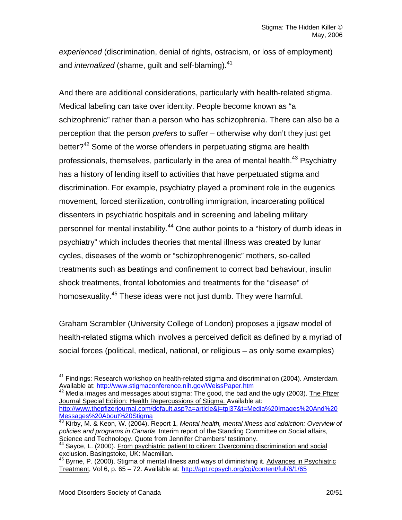*experienced* (discrimination, denial of rights, ostracism, or loss of employment) and *internalized* (shame, guilt and self-blaming).<sup>[41](#page-19-0)</sup>

And there are additional considerations, particularly with health-related stigma. Medical labeling can take over identity. People become known as "a schizophrenic" rather than a person who has schizophrenia. There can also be a perception that the person *prefers* to suffer – otherwise why don't they just get better?<sup>42</sup> Some of the worse offenders in perpetuating stigma are health professionals, themselves, particularly in the area of mental health.<sup>43</sup> Psychiatry has a history of lending itself to activities that have perpetuated stigma and discrimination. For example, psychiatry played a prominent role in the eugenics movement, forced sterilization, controlling immigration, incarcerating political dissenters in psychiatric hospitals and in screening and labeling military personnel for mental instability.<sup>44</sup> One author points to a "history of dumb ideas in psychiatry" which includes theories that mental illness was created by lunar cycles, diseases of the womb or "schizophrenogenic" mothers, so-called treatments such as beatings and confinement to correct bad behaviour, insulin shock treatments, frontal lobotomies and treatments for the "disease" of homosexuality.<sup>45</sup> These ideas were not just dumb. They were harmful.

Graham Scrambler (University College of London) proposes a jigsaw model of health-related stigma which involves a perceived deficit as defined by a myriad of social forces (political, medical, national, or religious – as only some examples)

<span id="page-19-1"></span><sup>42</sup> Media images and messages about stigma: The good, the bad and the ugly (2003). The Pfizer Journal Special Edition: Health Repercussions of Stigma. Available at: [http://www.thepfizerjournal.com/default.asp?a=article&j=tpj37&t=Media%20Images%20And%20](http://www.thepfizerjournal.com/default.asp?a=article&j=tpj37&t=Media%20Images%20And%20Messages%20About%20Stigma)<br>Messages%20About%20Stigma

<span id="page-19-0"></span> $41$  Findings: Research workshop on health-related stigma and discrimination (2004). Amsterdam. Available at:<http://www.stigmaconference.nih.gov/WeissPaper.htm>

<span id="page-19-2"></span>Messages About Secrets 2004). Report 1, *Mental health, mental illness and addiction: Overview of* <sup>43</sup> Kirby, M. & Keon, W. (2004). Report 1, *Mental health, mental illness and addiction: Overview of* policies and programs in Canada. Interim report of the Standing Committee on Social affairs,<br>Science and Technology. Quote from Jennifer Chambers' testimony.

<span id="page-19-3"></span> $\frac{1}{2}$  Sayce, L. (2000). From psychiatric patient to citizen: Overcoming discrimination and social exclusion. Basingstoke, UK: Macmillan.<br><sup>45</sup> Byrne, P. (2000). CO.

<span id="page-19-4"></span><sup>45</sup> Byrne, P. (2000). Stigma of mental illness and ways of diminishing it. Advances in Psychiatric Treatment, Vol 6, p. 65 – 72. Available at: <http://apt.rcpsych.org/cgi/content/full/6/1/65>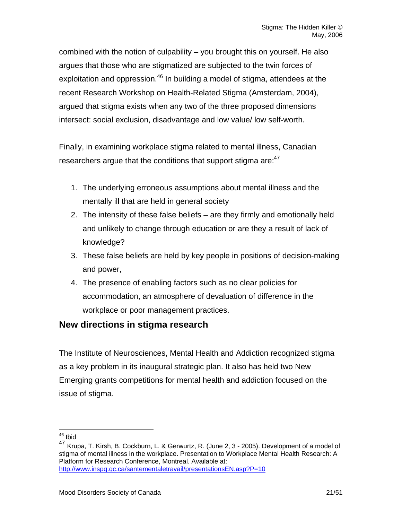combined with the notion of culpability – you brought this on yourself. He also argues that those who are stigmatized are subjected to the twin forces of exploitation and oppression.<sup>46</sup> In building a model of stigma, attendees at the recent Research Workshop on Health-Related Stigma (Amsterdam, 2004), argued that stigma exists when any two of the three proposed dimensions intersect: social exclusion, disadvantage and low value/ low self-worth.

Finally, in examining workplace stigma related to mental illness, Canadian researchers argue that the conditions that support stigma are: $47$ 

- 1. The underlying erroneous assumptions about mental illness and the mentally ill that are held in general society
- 2. The intensity of these false beliefs are they firmly and emotionally held and unlikely to change through education or are they a result of lack of knowledge?
- 3. These false beliefs are held by key people in positions of decision-making and power,
- 4. The presence of enabling factors such as no clear policies for accommodation, an atmosphere of devaluation of difference in the workplace or poor management practices.

# **New directions in stigma research**

The Institute of Neurosciences, Mental Health and Addiction recognized stigma as a key problem in its inaugural strategic plan. It also has held two New Emerging grants competitions for mental health and addiction focused on the issue of stigma.

<span id="page-20-0"></span> <sup>46</sup> Ibid

<span id="page-20-1"></span><sup>47</sup> Krupa, T. Kirsh, B. Cockburn, L. & Gerwurtz, R. (June 2, 3 - 2005). Development of a model of stigma of mental illness in the workplace. Presentation to Workplace Mental Health Research: A Platform for Research Conference, Montreal. Available at: <http://www.inspq.qc.ca/santementaletravail/presentationsEN.asp?P=10>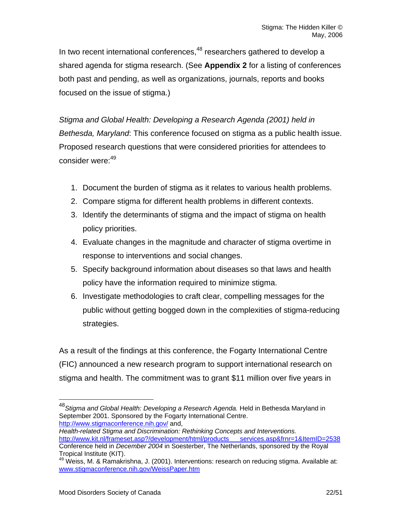In two recent international conferences.<sup>48</sup> researchers gathered to develop a shared agenda for stigma research. (See **Appendix 2** for a listing of conferences both past and pending, as well as organizations, journals, reports and books focused on the issue of stigma.)

*Stigma and Global Health: Developing a Research Agenda (2001) held in Bethesda, Maryland*: This conference focused on stigma as a public health issue. Proposed research questions that were considered priorities for attendees to consider were:<sup>[49](#page-21-1)</sup>

- 1. Document the burden of stigma as it relates to various health problems.
- 2. Compare stigma for different health problems in different contexts.
- 3. Identify the determinants of stigma and the impact of stigma on health policy priorities.
- 4. Evaluate changes in the magnitude and character of stigma overtime in response to interventions and social changes.
- 5. Specify background information about diseases so that laws and health policy have the information required to minimize stigma.
- 6. Investigate methodologies to craft clear, compelling messages for the public without getting bogged down in the complexities of stigma-reducing strategies.

As a result of the findings at this conference, the Fogarty International Centre (FIC) announced a new research program to support international research on stigma and health. The commitment was to grant \$11 million over five years in

*Health-related Stigma and Discrimination: Rethinking Concepts and Interventions.* 

<span id="page-21-0"></span> <sup>48</sup>*Stigma and Global Health: Developing a Research Agenda.* Held in Bethesda Maryland in September 2001. Sponsored by the Fogarty International Centre. <http://www.stigmaconference.nih.gov/> and,

[http://www.kit.nl/frameset.asp?/development/html/products\\_\\_\\_services.asp&frnr=1&ItemID=2538](http://www.kit.nl/frameset.asp?/development/html/products___services.asp&frnr=1&ItemID=2538) Conference held in *December 2004* in Soesterber, The Netherlands, sponsored by the Royal Tropical Institute (KIT).<br><sup>49</sup> Weiss, M. & Ramakrishna, J. (2001). Interventions: research on reducing stigma. Available at:

<span id="page-21-1"></span>[www.stigmaconference.nih.gov/WeissPaper.htm](http://www.stigmaconference.nih.gov/WeissPaper.htm)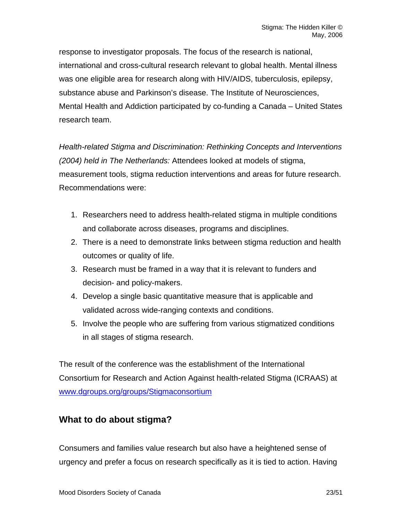response to investigator proposals. The focus of the research is national, international and cross-cultural research relevant to global health. Mental illness was one eligible area for research along with HIV/AIDS, tuberculosis, epilepsy, substance abuse and Parkinson's disease. The Institute of Neurosciences, Mental Health and Addiction participated by co-funding a Canada – United States research team.

*Health-related Stigma and Discrimination: Rethinking Concepts and Interventions (2004) held in The Netherlands:* Attendees looked at models of stigma, measurement tools, stigma reduction interventions and areas for future research. Recommendations were:

- 1. Researchers need to address health-related stigma in multiple conditions and collaborate across diseases, programs and disciplines.
- 2. There is a need to demonstrate links between stigma reduction and health outcomes or quality of life.
- 3. Research must be framed in a way that it is relevant to funders and decision- and policy-makers.
- 4. Develop a single basic quantitative measure that is applicable and validated across wide-ranging contexts and conditions.
- 5. Involve the people who are suffering from various stigmatized conditions in all stages of stigma research.

The result of the conference was the establishment of the International Consortium for Research and Action Against health-related Stigma (ICRAAS) at [www.dgroups.org/groups/Stigmaconsortium](http://www.dgroups.org/groups/Stigmaconsortium) 

# **What to do about stigma?**

Consumers and families value research but also have a heightened sense of urgency and prefer a focus on research specifically as it is tied to action. Having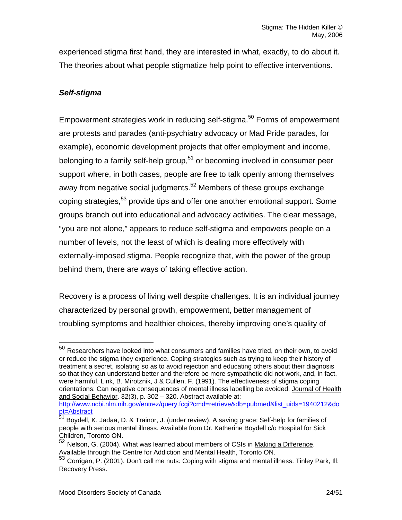experienced stigma first hand, they are interested in what, exactly, to do about it. The theories about what people stigmatize help point to effective interventions.

# *Self-stigma*

Empowerment strategies work in reducing self-stigma.<sup>50</sup> Forms of empowerment are protests and parades (anti-psychiatry advocacy or Mad Pride parades, for example), economic development projects that offer employment and income, belonging to a family self-help group,  $51$  or becoming involved in consumer peer support where, in both cases, people are free to talk openly among themselves away from negative social judgments.<sup>52</sup> Members of these groups exchange coping strategies,<sup>53</sup> provide tips and offer one another emotional support. Some groups branch out into educational and advocacy activities. The clear message, "you are not alone," appears to reduce self-stigma and empowers people on a number of levels, not the least of which is dealing more effectively with externally-imposed stigma. People recognize that, with the power of the group behind them, there are ways of taking effective action.

Recovery is a process of living well despite challenges. It is an individual journey characterized by personal growth, empowerment, better management of troubling symptoms and healthier choices, thereby improving one's quality of

<span id="page-23-0"></span> $50$  Researchers have looked into what consumers and families have tried, on their own, to avoid or reduce the stigma they experience. Coping strategies such as trying to keep their history of treatment a secret, isolating so as to avoid rejection and educating others about their diagnosis so that they can understand better and therefore be more sympathetic did not work, and, in fact, were harmful. Link, B. Mirotznik, J & Cullen, F. (1991). The effectiveness of stigma coping orientations: Can negative consequences of mental illness labelling be avoided. Journal of Health and Social Behavior. 32(3), p. 302 – 320. Abstract available at:

[http://www.ncbi.nlm.nih.gov/entrez/query.fcgi?cmd=retrieve&db=pubmed&list\\_uids=1940212&do](http://www.ncbi.nlm.nih.gov/entrez/query.fcgi?cmd=retrieve&db=pubmed&list_uids=1940212&dopt=Abstract) pt=Abstract<br><sup>51</sup> Boydell, K. Jadaa, D. & Trainor, J. (under review). A saving grace: Self-help for families of

<span id="page-23-1"></span>people with serious mental illness. Available from Dr. Katherine Boydell c/o Hospital for Sick Children, Toronto ON.

<span id="page-23-2"></span><sup>52</sup> Nelson, G. (2004). What was learned about members of CSIs in Making a Difference. Available through the Centre for Addiction and Mental Health, Toronto ON.

<span id="page-23-3"></span><sup>53</sup> Corrigan, P. (2001). Don't call me nuts: Coping with stigma and mental illness. Tinley Park, Ill: Recovery Press.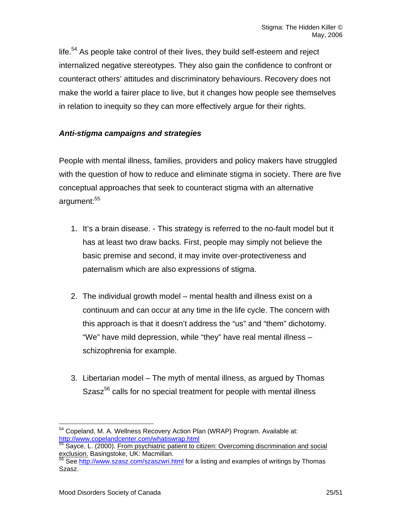life. $54$  As people take control of their lives, they build self-esteem and reject internalized negative stereotypes. They also gain the confidence to confront or counteract others' attitudes and discriminatory behaviours. Recovery does not make the world a fairer place to live, but it changes how people see themselves in relation to inequity so they can more effectively argue for their rights.

# *Anti-stigma campaigns and strategies*

People with mental illness, families, providers and policy makers have struggled with the question of how to reduce and eliminate stigma in society. There are five conceptual approaches that seek to counteract stigma with an alternative argument:<sup>55</sup>

- 1. It's a brain disease. This strategy is referred to the no-fault model but it has at least two draw backs. First, people may simply not believe the basic premise and second, it may invite over-protectiveness and paternalism which are also expressions of stigma.
- 2. The individual growth model mental health and illness exist on a continuum and can occur at any time in the life cycle. The concern with this approach is that it doesn't address the "us" and "them" dichotomy. "We" have mild depression, while "they" have real mental illness – schizophrenia for example.
- 3. Libertarian model The myth of mental illness, as argued by Thomas Szasz<sup>56</sup> calls for no special treatment for people with mental illness

<span id="page-24-0"></span> $54$  Copeland, M. A. Wellness Recovery Action Plan (WRAP) Program. Available at:<br>http://www.copelandcenter.com/whatiswrap.html

<span id="page-24-1"></span>http://www.copelandcenter.com/www.com/whate-termandcenter.com/whatisiter.com/whatisum-to-termandcenter.com/whatisumexclusion. Basingstoke, UK: Macmillan.

<span id="page-24-2"></span><sup>&</sup>lt;sup>56</sup> See <http://www.szasz.com/szaszwri.html>for a listing and examples of writings by Thomas Szasz.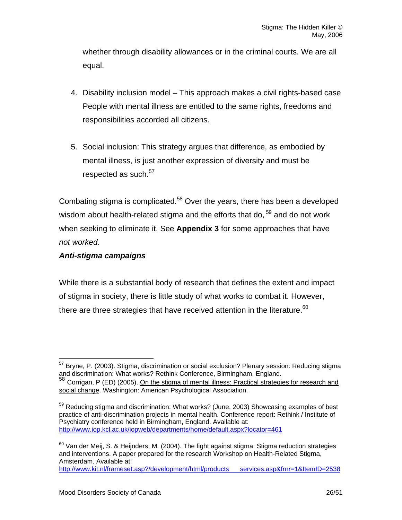whether through disability allowances or in the criminal courts. We are all equal.

- 4. Disability inclusion model This approach makes a civil rights-based case People with mental illness are entitled to the same rights, freedoms and responsibilities accorded all citizens.
- 5. Social inclusion: This strategy argues that difference, as embodied by mental illness, is just another expression of diversity and must be respected as such.<sup>[57](#page-25-0)</sup>

Combating stigma is complicated.<sup>58</sup> Over the years, there has been a developed wisdom about health-related stigma and the efforts that do,  $59$  and do not work when seeking to eliminate it. See **Appendix 3** for some approaches that have *not worked.* 

# *Anti-stigma campaigns*

While there is a substantial body of research that defines the extent and impact of stigma in society, there is little study of what works to combat it. However, there are three strategies that have received attention in the literature.  $60$ 

<span id="page-25-0"></span><sup>&</sup>lt;sup>57</sup> Bryne, P. (2003). Stigma, discrimination or social exclusion? Plenary session: Reducing stigma<br>and discrimination: What works? Rethink Conference, Birmingham, England.

<span id="page-25-1"></span><sup>58</sup> Corrigan, P (ED) (2005). On the stigma of mental illness: Practical strategies for research and social change. Washington: American Psychological Association.

<span id="page-25-2"></span> $59$  Reducing stigma and discrimination: What works? (June, 2003) Showcasing examples of best practice of anti-discrimination projects in mental health. Conference report: Rethink / Institute of Psychiatry conference held in Birmingham, England. Available at: <http://www.iop.kcl.ac.uk/iopweb/departments/home/default.aspx?locator=461>

<span id="page-25-3"></span> $60$  Van der Meij, S. & Heijnders, M. (2004). The fight against stigma: Stigma reduction strategies and interventions. A paper prepared for the research Workshop on Health-Related Stigma, Amsterdam. Available at: [http://www.kit.nl/frameset.asp?/development/html/products\\_\\_\\_services.asp&frnr=1&ItemID=2538](http://www.kit.nl/frameset.asp?/development/html/products___services.asp&frnr=1&ItemID=2538)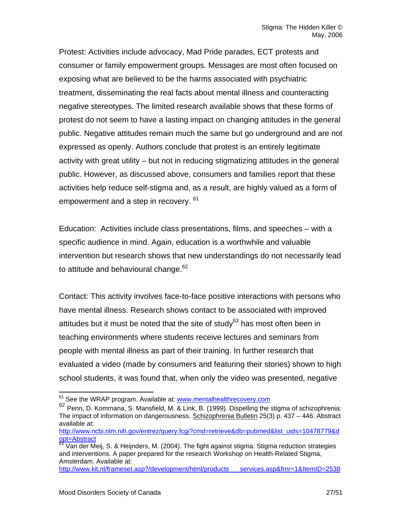Protest: Activities include advocacy, Mad Pride parades, ECT protests and consumer or family empowerment groups. Messages are most often focused on exposing what are believed to be the harms associated with psychiatric treatment, disseminating the real facts about mental illness and counteracting negative stereotypes. The limited research available shows that these forms of protest do not seem to have a lasting impact on changing attitudes in the general public. Negative attitudes remain much the same but go underground and are not expressed as openly. Authors conclude that protest is an entirely legitimate activity with great utility – but not in reducing stigmatizing attitudes in the general public. However, as discussed above, consumers and families report that these activities help reduce self-stigma and, as a result, are highly valued as a form of empowerment and a step in recovery. <sup>61</sup>

Education: Activities include class presentations, films, and speeches – with a specific audience in mind. Again, education is a worthwhile and valuable intervention but research shows that new understandings do not necessarily lead to attitude and behavioural change.<sup>[62](#page-26-1)</sup>

Contact: This activity involves face-to-face positive interactions with persons who have mental illness. Research shows contact to be associated with improved attitudes but it must be noted that the site of study $63$  has most often been in teaching environments where students receive lectures and seminars from people with mental illness as part of their training. In further research that evaluated a video (made by consumers and featuring their stories) shown to high school students, it was found that, when only the video was presented, negative

[http://www.kit.nl/frameset.asp?/development/html/products\\_\\_\\_services.asp&frnr=1&ItemID=2538](http://www.kit.nl/frameset.asp?/development/html/products___services.asp&frnr=1&ItemID=2538) 

<span id="page-26-1"></span><span id="page-26-0"></span>

 $61$  See the WRAP program. Available at: www.mentalhealthrecovery.com<br> $62$  Penn, D. Kommana, S. Mansfield, M. & Link, B. (1999). Dispelling the stigma of schizophrenia: The impact of information on dangerousness. Schizophrenia Bulletin 25(3) p. 437 – 446. Abstract available at:

[http://www.ncbi.nlm.nih.gov/entrez/query.fcgi?cmd=retrieve&db=pubmed&list\\_uids=10478779&d](http://www.ncbi.nlm.nih.gov/entrez/query.fcgi?cmd=retrieve&db=pubmed&list_uids=10478779&dopt=Abstract) [opt=Abstract](http://www.ncbi.nlm.nih.gov/entrez/query.fcgi?cmd=retrieve&db=pubmed&list_uids=10478779&dopt=Abstract)<br><sup>[63](http://www.ncbi.nlm.nih.gov/entrez/query.fcgi?cmd=retrieve&db=pubmed&list_uids=10478779&dopt=Abstract)</sup> Van der Meij, S. & Heijnders, M. (2004). The fight against stigma: Stigma reduction strategies

<span id="page-26-2"></span>and interventions. A paper prepared for the research Workshop on Health-Related Stigma, Amsterdam. Available at: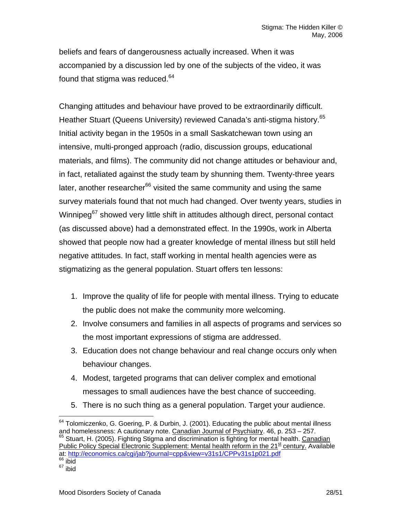beliefs and fears of dangerousness actually increased. When it was accompanied by a discussion led by one of the subjects of the video, it was found that stigma was reduced.<sup>64</sup>

Changing attitudes and behaviour have proved to be extraordinarily difficult. Heather Stuart (Queens University) reviewed Canada's anti-stigma history.<sup>65</sup> Initial activity began in the 1950s in a small Saskatchewan town using an intensive, multi-pronged approach (radio, discussion groups, educational materials, and films). The community did not change attitudes or behaviour and, in fact, retaliated against the study team by shunning them. Twenty-three years later, another researcher<sup>66</sup> visited the same community and using the same survey materials found that not much had changed. Over twenty years, studies in Winnipeg<sup>67</sup> showed very little shift in attitudes although direct, personal contact (as discussed above) had a demonstrated effect. In the 1990s, work in Alberta showed that people now had a greater knowledge of mental illness but still held negative attitudes. In fact, staff working in mental health agencies were as stigmatizing as the general population. Stuart offers ten lessons:

- 1. Improve the quality of life for people with mental illness. Trying to educate the public does not make the community more welcoming.
- 2. Involve consumers and families in all aspects of programs and services so the most important expressions of stigma are addressed.
- 3. Education does not change behaviour and real change occurs only when behaviour changes.
- 4. Modest, targeted programs that can deliver complex and emotional messages to small audiences have the best chance of succeeding.
- 5. There is no such thing as a general population. Target your audience.

<span id="page-27-1"></span><span id="page-27-0"></span><sup>&</sup>lt;sup>64</sup> Tolomiczenko, G. Goering, P. & Durbin, J. (2001). Educating the public about mental illness and homelessness: A cautionary note. Canadian Journal of Psychiatry. 46, p. 253 – 257. <sup>65</sup> Stuart, H. (2005). Fighting Stigma and discrimination is fighting for mental health. Canadian Public Policy Special Electronic Supplement: Mental health reform in the 21<sup>st</sup> century. Available at: <http://economics.ca/cgi/jab?journal=cpp&view=v31s1/CPPv31s1p021.pdf><br><sup>66</sup> ibid

<span id="page-27-3"></span><span id="page-27-2"></span> $67$  ibid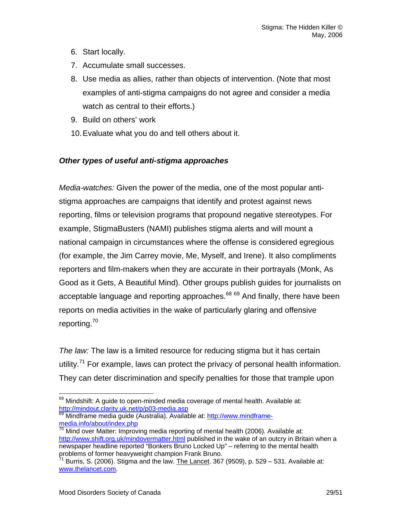- 6. Start locally.
- 7. Accumulate small successes.
- 8. Use media as allies, rather than objects of intervention. (Note that most examples of anti-stigma campaigns do not agree and consider a media watch as central to their efforts.)
- 9. Build on others' work
- 10. Evaluate what you do and tell others about it.

# *Other types of useful anti-stigma approaches*

*Media-watches:* Given the power of the media, one of the most popular antistigma approaches are campaigns that identify and protest against news reporting, films or television programs that propound negative stereotypes. For example, StigmaBusters (NAMI) publishes stigma alerts and will mount a national campaign in circumstances where the offense is considered egregious (for example, the Jim Carrey movie, Me, Myself, and Irene). It also compliments reporters and film-makers when they are accurate in their portrayals (Monk, As Good as it Gets, A Beautiful Mind). Other groups publish guides for journalists on acceptable language and reporting approaches. $68\,69}$  $68\,69}$  And finally, there have been reports on media activities in the wake of particularly glaring and offensive reporting.[70](#page-28-2) 

*The law:* The law is a limited resource for reducing stigma but it has certain utility.<sup>71</sup> For example, laws can protect the privacy of personal health information. They can deter discrimination and specify penalties for those that trample upon

<span id="page-28-1"></span>69 Mindframe media guide (Australia). Available at: [http://www.mindframe](http://www.mindframe-media.info/about/index.php)[media.info/about/index.php](http://www.mindframe-media.info/about/index.php)<br><sup>[70](http://www.mindframe-media.info/about/index.php)</sup> Mind over Matter: Improving media reporting of mental health (2006). Available at:

<span id="page-28-0"></span> $68$  Mindshift: A guide to open-minded media coverage of mental health. Available at:<br>http://mindout.clarity.uk.net/p/p03-media.asp

<span id="page-28-2"></span><http://www.shift.org.uk/mindovermatter.html> published in the wake of an outcry in Britain when a newspaper headline reported "Bonkers Bruno Locked Up" – referring to the mental health problems of former heavyweight champion Frank Bruno.

<span id="page-28-3"></span> $^{71}$  Burris, S. (2006). Stigma and the law. The Lancet. 367 (9509), p. 529 – 531. Available at: [www.thelancet.com.](http://www.thelancet.com/)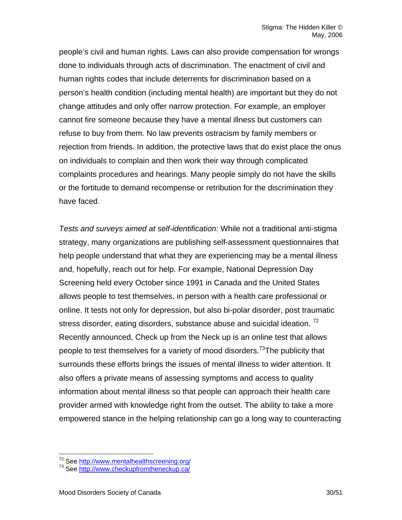people's civil and human rights. Laws can also provide compensation for wrongs done to individuals through acts of discrimination. The enactment of civil and human rights codes that include deterrents for discrimination based on a person's health condition (including mental health) are important but they do not change attitudes and only offer narrow protection. For example, an employer cannot fire someone because they have a mental illness but customers can refuse to buy from them. No law prevents ostracism by family members or rejection from friends. In addition, the protective laws that do exist place the onus on individuals to complain and then work their way through complicated complaints procedures and hearings. Many people simply do not have the skills or the fortitude to demand recompense or retribution for the discrimination they have faced.

*Tests and surveys aimed at self-identification:* While not a traditional anti-stigma strategy, many organizations are publishing self-assessment questionnaires that help people understand that what they are experiencing may be a mental illness and, hopefully, reach out for help. For example, National Depression Day Screening held every October since 1991 in Canada and the United States allows people to test themselves, in person with a health care professional or online. It tests not only for depression, but also bi-polar disorder, post traumatic stress disorder, eating disorders, substance abuse and suicidal ideation.<sup>[72](#page-29-0)</sup> Recently announced, Check up from the Neck up is an online test that allows people to test themselves for a variety of mood disorders.<sup>73</sup>The publicity that surrounds these efforts brings the issues of mental illness to wider attention. It also offers a private means of assessing symptoms and access to quality information about mental illness so that people can approach their health care provider armed with knowledge right from the outset. The ability to take a more empowered stance in the helping relationship can go a long way to counteracting

<span id="page-29-0"></span><sup>&</sup>lt;sup>72</sup> See http://www.mentalhealthscreening.org/<br><sup>73</sup> See http://www.checkupfromtheneckup.ca/

<span id="page-29-1"></span>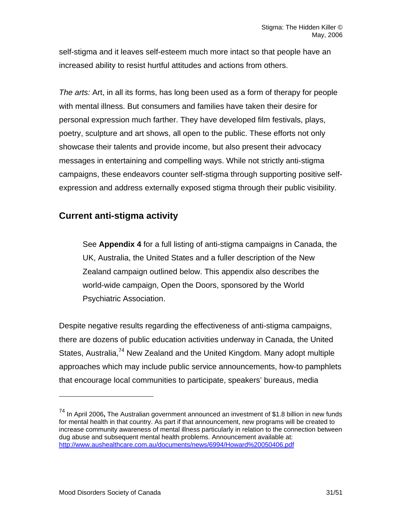self-stigma and it leaves self-esteem much more intact so that people have an increased ability to resist hurtful attitudes and actions from others.

*The arts:* Art, in all its forms, has long been used as a form of therapy for people with mental illness. But consumers and families have taken their desire for personal expression much farther. They have developed film festivals, plays, poetry, sculpture and art shows, all open to the public. These efforts not only showcase their talents and provide income, but also present their advocacy messages in entertaining and compelling ways. While not strictly anti-stigma campaigns, these endeavors counter self-stigma through supporting positive selfexpression and address externally exposed stigma through their public visibility.

# **Current anti-stigma activity**

See **Appendix 4** for a full listing of anti-stigma campaigns in Canada, the UK, Australia, the United States and a fuller description of the New Zealand campaign outlined below. This appendix also describes the world-wide campaign, Open the Doors, sponsored by the World Psychiatric Association.

Despite negative results regarding the effectiveness of anti-stigma campaigns, there are dozens of public education activities underway in Canada, the United States, Australia,<sup>74</sup> New Zealand and the United Kingdom. Many adopt multiple approaches which may include public service announcements, how-to pamphlets that encourage local communities to participate, speakers' bureaus, media

1

<span id="page-30-0"></span><sup>74</sup> In April 2006**,** The Australian government announced an investment of \$1.8 billion in new funds for mental health in that country. As part if that announcement, new programs will be created to increase community awareness of mental illness particularly in relation to the connection between dug abuse and subsequent mental health problems. Announcement available at: [http://www.aushealthcare.com.au/documents/news/6994/Howard%20050406.pdf](http://www.aushealthcare.com.au/documents/news/6994/Howard 050406.pdf)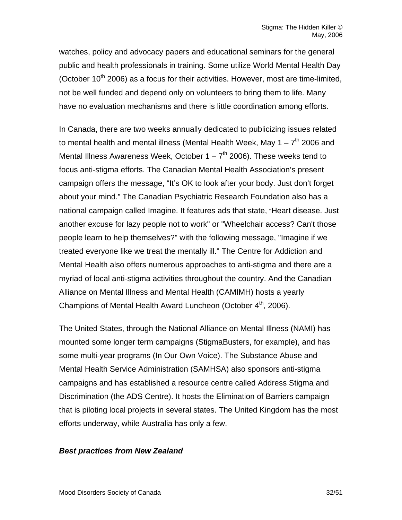watches, policy and advocacy papers and educational seminars for the general public and health professionals in training. Some utilize World Mental Health Day (October  $10<sup>th</sup>$  2006) as a focus for their activities. However, most are time-limited, not be well funded and depend only on volunteers to bring them to life. Many have no evaluation mechanisms and there is little coordination among efforts.

In Canada, there are two weeks annually dedicated to publicizing issues related to mental health and mental illness (Mental Health Week, May 1 –  $7<sup>th</sup>$  2006 and Mental Illness Awareness Week, October  $1 - 7<sup>th</sup>$  2006). These weeks tend to focus anti-stigma efforts. The Canadian Mental Health Association's present campaign offers the message, "It's OK to look after your body. Just don't forget about your mind." The Canadian Psychiatric Research Foundation also has a national campaign called Imagine. It features ads that state, "Heart disease. Just another excuse for lazy people not to work" or "Wheelchair access? Can't those people learn to help themselves?" with the following message, "Imagine if we treated everyone like we treat the mentally ill." The Centre for Addiction and Mental Health also offers numerous approaches to anti-stigma and there are a myriad of local anti-stigma activities throughout the country. And the Canadian Alliance on Mental Illness and Mental Health (CAMIMH) hosts a yearly Champions of Mental Health Award Luncheon (October 4<sup>th</sup>, 2006).

The United States, through the National Alliance on Mental Illness (NAMI) has mounted some longer term campaigns (StigmaBusters, for example), and has some multi-year programs (In Our Own Voice). The Substance Abuse and Mental Health Service Administration (SAMHSA) also sponsors anti-stigma campaigns and has established a resource centre called Address Stigma and Discrimination (the ADS Centre). It hosts the Elimination of Barriers campaign that is piloting local projects in several states. The United Kingdom has the most efforts underway, while Australia has only a few.

### *Best practices from New Zealand*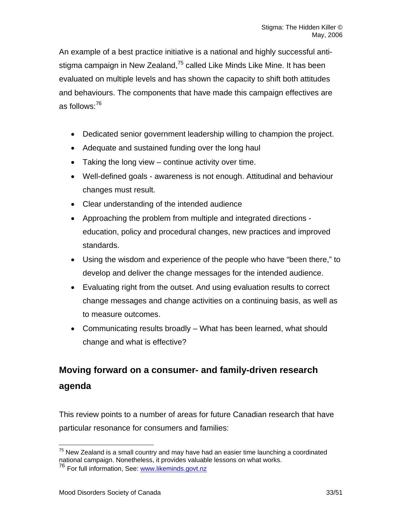An example of a best practice initiative is a national and highly successful antistigma campaign in New Zealand,<sup>75</sup> called Like Minds Like Mine. It has been evaluated on multiple levels and has shown the capacity to shift both attitudes and behaviours. The components that have made this campaign effectives are as follows:[76](#page-32-1)

- Dedicated senior government leadership willing to champion the project.
- Adequate and sustained funding over the long haul
- Taking the long view continue activity over time.
- Well-defined goals awareness is not enough. Attitudinal and behaviour changes must result.
- Clear understanding of the intended audience
- Approaching the problem from multiple and integrated directions education, policy and procedural changes, new practices and improved standards.
- Using the wisdom and experience of the people who have "been there," to develop and deliver the change messages for the intended audience.
- Evaluating right from the outset. And using evaluation results to correct change messages and change activities on a continuing basis, as well as to measure outcomes.
- Communicating results broadly What has been learned, what should change and what is effective?

# **Moving forward on a consumer- and family-driven research agenda**

This review points to a number of areas for future Canadian research that have particular resonance for consumers and families:

<span id="page-32-0"></span> $75$  New Zealand is a small country and may have had an easier time launching a coordinated national campaign. Nonetheless, it provides valuable lessons on what works.

<span id="page-32-1"></span><sup>&</sup>lt;sup>76</sup> For full information, See: [www.likeminds.govt.nz](http://www.likeminds.govt.nz/)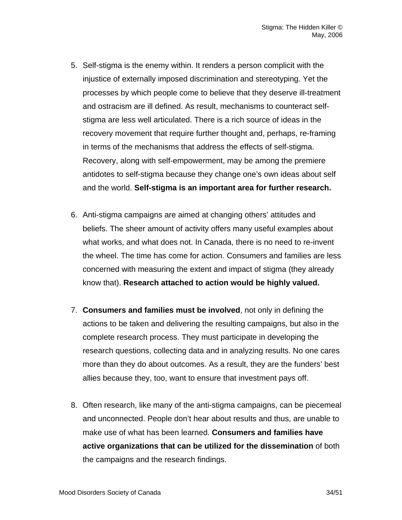- 5. Self-stigma is the enemy within. It renders a person complicit with the injustice of externally imposed discrimination and stereotyping. Yet the processes by which people come to believe that they deserve ill-treatment and ostracism are ill defined. As result, mechanisms to counteract selfstigma are less well articulated. There is a rich source of ideas in the recovery movement that require further thought and, perhaps, re-framing in terms of the mechanisms that address the effects of self-stigma. Recovery, along with self-empowerment, may be among the premiere antidotes to self-stigma because they change one's own ideas about self and the world. **Self-stigma is an important area for further research.**
- 6. Anti-stigma campaigns are aimed at changing others' attitudes and beliefs. The sheer amount of activity offers many useful examples about what works, and what does not. In Canada, there is no need to re-invent the wheel. The time has come for action. Consumers and families are less concerned with measuring the extent and impact of stigma (they already know that). **Research attached to action would be highly valued.**
- 7. **Consumers and families must be involved**, not only in defining the actions to be taken and delivering the resulting campaigns, but also in the complete research process. They must participate in developing the research questions, collecting data and in analyzing results. No one cares more than they do about outcomes. As a result, they are the funders' best allies because they, too, want to ensure that investment pays off.
- 8. Often research, like many of the anti-stigma campaigns, can be piecemeal and unconnected. People don't hear about results and thus, are unable to make use of what has been learned. **Consumers and families have active organizations that can be utilized for the dissemination** of both the campaigns and the research findings.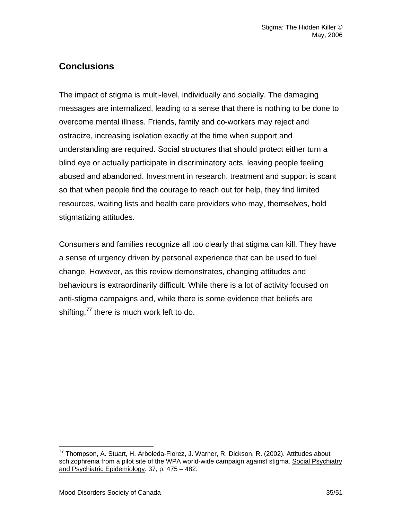# **Conclusions**

The impact of stigma is multi-level, individually and socially. The damaging messages are internalized, leading to a sense that there is nothing to be done to overcome mental illness. Friends, family and co-workers may reject and ostracize, increasing isolation exactly at the time when support and understanding are required. Social structures that should protect either turn a blind eye or actually participate in discriminatory acts, leaving people feeling abused and abandoned. Investment in research, treatment and support is scant so that when people find the courage to reach out for help, they find limited resources, waiting lists and health care providers who may, themselves, hold stigmatizing attitudes.

Consumers and families recognize all too clearly that stigma can kill. They have a sense of urgency driven by personal experience that can be used to fuel change. However, as this review demonstrates, changing attitudes and behaviours is extraordinarily difficult. While there is a lot of activity focused on anti-stigma campaigns and, while there is some evidence that beliefs are shifting,<sup>77</sup> there is much work left to do.

<span id="page-34-0"></span> $77$  Thompson, A. Stuart, H. Arboleda-Florez, J. Warner, R. Dickson, R. (2002). Attitudes about schizophrenia from a pilot site of the WPA world-wide campaign against stigma. Social Psychiatry and Psychiatric Epidemiology. 37, p. 475 – 482.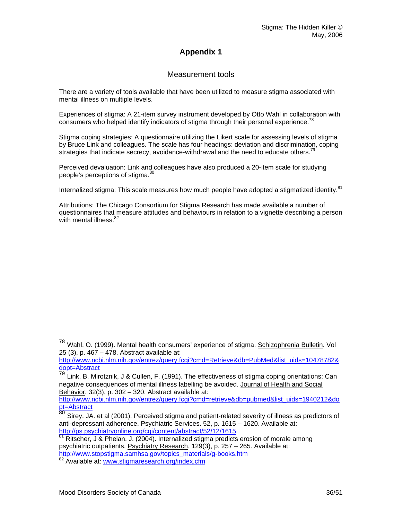# **Appendix 1**

### Measurement tools

There are a variety of tools available that have been utilized to measure stigma associated with mental illness on multiple levels.

Experiences of stigma: A 21-item survey instrument developed by Otto Wahl in collaboration with consumers who helped identify indicators of stigma through their personal experience.<sup>[78](#page-35-0)</sup>

Stigma coping strategies: A questionnaire utilizing the Likert scale for assessing levels of stigma by Bruce Link and colleagues. The scale has four headings: deviation and discrimination, coping strategies that indicate secrecy, avoidance-withdrawal and the need to educate others.<sup>79</sup>

Perceived devaluation: Link and colleagues have also produced a 20-item scale for studying people's perceptions of stigma.<sup>[80](#page-35-2)</sup>

Internalized stigma: This scale measures how much people have adopted a stigmatized identity.<sup>[81](#page-35-3)</sup>

Attributions: The Chicago Consortium for Stigma Research has made available a number of questionnaires that measure attitudes and behaviours in relation to a vignette describing a person with mental illness.<sup>82</sup>

<span id="page-35-0"></span><sup>&</sup>lt;sup>78</sup> Wahl, O. (1999). Mental health consumers' experience of stigma. **Schizophrenia Bulletin**. Vol 25 (3), p. 467 – 478. Abstract available at:

[http://www.ncbi.nlm.nih.gov/entrez/query.fcgi?cmd=Retrieve&db=PubMed&list\\_uids=10478782&](http://www.ncbi.nlm.nih.gov/entrez/query.fcgi?cmd=Retrieve&db=PubMed&list_uids=10478782&dopt=Abstract)

<span id="page-35-1"></span>dopt=Abstract<br><sup>79</sup> Link, B. Mirotznik, J & Cullen, F. (1991). The effectiveness of stigma coping orientations: Can negative consequences of mental illness labelling be avoided. Journal of Health and Social Behavior. 32(3), p. 302 - 320. Abstract available at:

[http://www.ncbi.nlm.nih.gov/entrez/query.fcgi?cmd=retrieve&db=pubmed&list\\_uids=1940212&do](http://www.ncbi.nlm.nih.gov/entrez/query.fcgi?cmd=retrieve&db=pubmed&list_uids=1940212&dopt=Abstract)<br>pt=Abstract<br>80 Sirov 10 of al.(2001). Persejued stigme and patient related soverity of illness as prodictors of

<span id="page-35-2"></span>Sirey, JA. et al (2001). Perceived stigma and patient-related severity of illness as predictors of anti-depressant adherence. Psychiatric Services. 52, p. 1615 – 1620. Available at:<br>http://ps.psychiatryonline.org/cgi/content/abstract/52/12/1615

<span id="page-35-3"></span> $\frac{81}{12}$  Ritscher, J & Phelan, J. (2004). Internalized stigma predicts erosion of morale among psychiatric outpatients. **Psychiatry Research**. 129(3), p. 257 – 265. Available at:<br>http://www.stopstigma.samhsa.gov/topics\_materials/g-books.htm

<span id="page-35-4"></span><sup>82</sup> Available at: www.stigmaresearch.org/index.cfm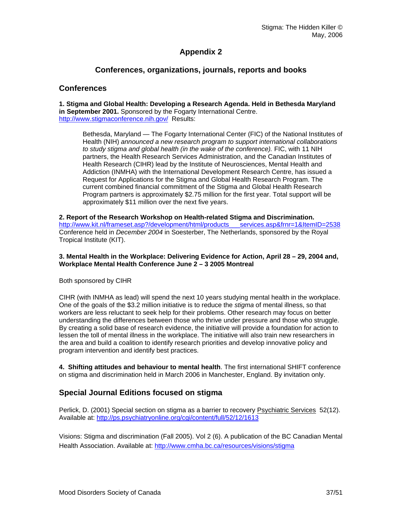### **Appendix 2**

### **Conferences, organizations, journals, reports and books**

#### **Conferences**

**1. Stigma and Global Health: Developing a Research Agenda. Held in Bethesda Maryland in September 2001.** Sponsored by the Fogarty International Centre. <http://www.stigmaconference.nih.gov/> Results:

Bethesda, Maryland — The Fogarty International Center (FIC) of the National Institutes of Health (NIH) *announced a new research program to support international collaborations to study stigma and global health (in the wake of the conference).* FIC, with 11 NIH partners, the Health Research Services Administration, and the Canadian Institutes of Health Research (CIHR) lead by the Institute of Neurosciences, Mental Health and Addiction (INMHA) with the International Development Research Centre, has issued a Request for Applications for the Stigma and Global Health Research Program. The current combined financial commitment of the Stigma and Global Health Research Program partners is approximately \$2.75 million for the first year. Total support will be approximately \$11 million over the next five years.

**2. Report of the Research Workshop on Health-related Stigma and Discrimination.**  [http://www.kit.nl/frameset.asp?/development/html/products\\_\\_\\_services.asp&frnr=1&ItemID=2538](http://www.kit.nl/frameset.asp?/development/html/products___services.asp&frnr=1&ItemID=2538) Conference held in *December 2004* in Soesterber, The Netherlands, sponsored by the Royal Tropical Institute (KIT).

#### **3. Mental Health in the Workplace: Delivering Evidence for Action, April 28 – 29, 2004 and, Workplace Mental Health Conference June 2 – 3 2005 Montreal**

Both sponsored by CIHR

CIHR (with INMHA as lead) will spend the next 10 years studying mental health in the workplace. One of the goals of the \$3.2 million initiative is to reduce the *stigma* of mental illness, so that workers are less reluctant to seek help for their problems. Other research may focus on better understanding the differences between those who thrive under pressure and those who struggle. By creating a solid base of research evidence, the initiative will provide a foundation for action to lessen the toll of mental illness in the workplace. The initiative will also train new researchers in the area and build a coalition to identify research priorities and develop innovative policy and program intervention and identify best practices.

**4. Shifting attitudes and behaviour to mental health**. The first international SHIFT conference on stigma and discrimination held in March 2006 in Manchester, England. By invitation only.

### **Special Journal Editions focused on stigma**

Perlick, D. (2001) Special section on stigma as a barrier to recovery Psychiatric Services 52(12). Available at:<http://ps.psychiatryonline.org/cgi/content/full/52/12/1613>

Visions: Stigma and discrimination (Fall 2005). Vol 2 (6). A publication of the BC Canadian Mental Health Association. Available at: <http://www.cmha.bc.ca/resources/visions/stigma>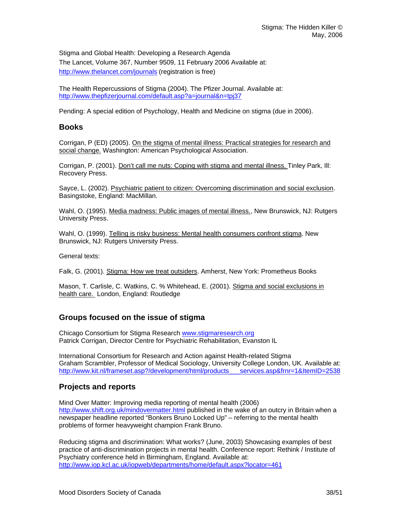Stigma and Global Health: Developing a Research Agenda The Lancet, Volume 367, Number 9509, 11 February 2006 Available at: <http://www.thelancet.com/journals> (registration is free)

The Health Repercussions of Stigma (2004). The Pfizer Journal. Available at: <http://www.thepfizerjournal.com/default.asp?a=journal&n=tpj37>

Pending: A special edition of Psychology, Health and Medicine on stigma (due in 2006).

### **Books**

Corrigan, P (ED) (2005). On the stigma of mental illness: Practical strategies for research and social change. Washington: American Psychological Association.

Corrigan, P. (2001). Don't call me nuts: Coping with stigma and mental illness. Tinley Park, Ill: Recovery Press.

Sayce, L. (2002). Psychiatric patient to citizen: Overcoming discrimination and social exclusion. Basingstoke, England: MacMillan.

Wahl, O. (1995). Media madness: Public images of mental illness., New Brunswick, NJ: Rutgers University Press.

Wahl, O. (1999). Telling is risky business: Mental health consumers confront stigma. New Brunswick, NJ: Rutgers University Press.

General texts:

Falk, G. (2001). Stigma: How we treat outsiders. Amherst, New York: Prometheus Books

Mason, T. Carlisle, C. Watkins, C. % Whitehead, E. (2001). Stigma and social exclusions in health care. London, England: Routledge

### **Groups focused on the issue of stigma**

Chicago Consortium for Stigma Research [www.stigmaresearch.org](http://www.stigmaresearch.org/) Patrick Corrigan, Director Centre for Psychiatric Rehabilitation, Evanston IL

International Consortium for Research and Action against Health-related Stigma Graham Scrambler, Professor of Medical Sociology, University College London, UK. Available at: [http://www.kit.nl/frameset.asp?/development/html/products\\_\\_\\_services.asp&frnr=1&ItemID=2538](http://www.kit.nl/frameset.asp?/development/html/products___services.asp&frnr=1&ItemID=2538)

### **Projects and reports**

Mind Over Matter: Improving media reporting of mental health (2006) <http://www.shift.org.uk/mindovermatter.html> published in the wake of an outcry in Britain when a newspaper headline reported "Bonkers Bruno Locked Up" – referring to the mental health problems of former heavyweight champion Frank Bruno.

Reducing stigma and discrimination: What works? (June, 2003) Showcasing examples of best practice of anti-discrimination projects in mental health. Conference report: Rethink / Institute of Psychiatry conference held in Birmingham, England. Available at: <http://www.iop.kcl.ac.uk/iopweb/departments/home/default.aspx?locator=461>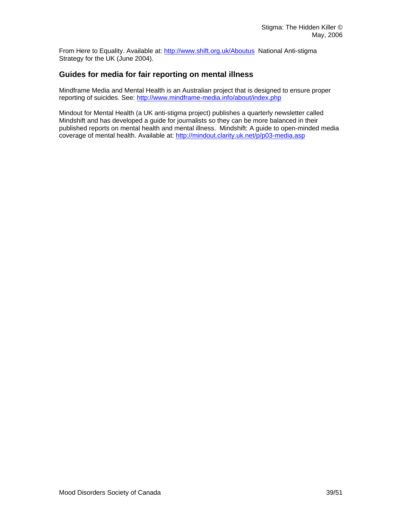From Here to Equality. Available at:<http://www.shift.org.uk/Aboutus>National Anti-stigma Strategy for the UK (June 2004).

### **Guides for media for fair reporting on mental illness**

Mindframe Media and Mental Health is an Australian project that is designed to ensure proper reporting of suicides. See:<http://www.mindframe-media.info/about/index.php>

Mindout for Mental Health (a UK anti-stigma project) publishes a quarterly newsletter called Mindshift and has developed a guide for journalists so they can be more balanced in their published reports on mental health and mental illness. Mindshift: A guide to open-minded media coverage of mental health. Available at: <http://mindout.clarity.uk.net/p/p03-media.asp>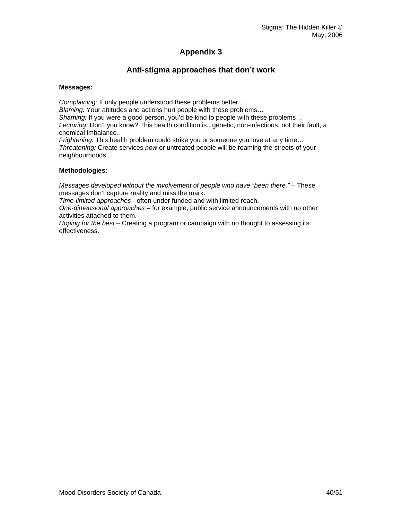# **Appendix 3**

### **Anti-stigma approaches that don't work**

#### **Messages:**

*Complaining:* If only people understood these problems better… *Blaming:* Your attitudes and actions hurt people with these problems… *Shaming:* If you were a good person, you'd be kind to people with these problems… *Lecturing:* Don't you know? This health condition is.. genetic, non-infectious, not their fault, a chemical imbalance… *Frightening:* This health problem could strike you or someone you love at any time… *Threatening:* Create services *now* or untreated people will be roaming the streets of your neighbourhoods.

#### **Methodologies:**

*Messages developed without the involvement of people who have "been there."* – These messages don't capture reality and miss the mark.

*Time-limited approaches* - often under funded and with limited reach.

*One-dimensional approaches* – for example, public service announcements with no other activities attached to them.

*Hoping for the best* – Creating a program or campaign with no thought to assessing its effectiveness.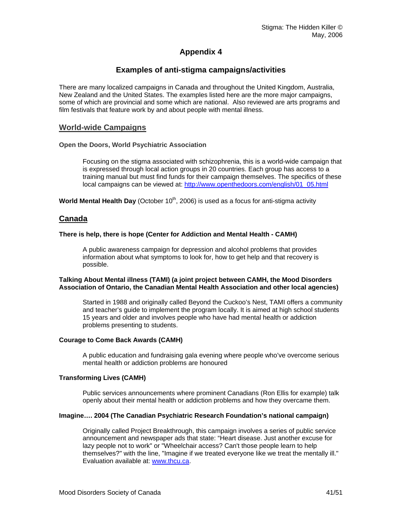### **Appendix 4**

### **Examples of anti-stigma campaigns/activities**

There are many localized campaigns in Canada and throughout the United Kingdom, Australia, New Zealand and the United States. The examples listed here are the more major campaigns, some of which are provincial and some which are national. Also reviewed are arts programs and film festivals that feature work by and about people with mental illness.

#### **World-wide Campaigns**

**Open the Doors, World Psychiatric Association** 

Focusing on the stigma associated with schizophrenia, this is a world-wide campaign that is expressed through local action groups in 20 countries. Each group has access to a training manual but must find funds for their campaign themselves. The specifics of these local campaigns can be viewed at: [http://www.openthedoors.com/english/01\\_05.html](http://www.openthedoors.com/english/01_05.html)

**World Mental Health Day** (October 10<sup>th</sup>, 2006) is used as a focus for anti-stigma activity

#### **Canada**

#### **There is help, there is hope (Center for Addiction and Mental Health - CAMH)**

A public awareness campaign for depression and alcohol problems that provides information about what symptoms to look for, how to get help and that recovery is possible.

#### **Talking About Mental illness (TAMI) (a joint project between CAMH, the Mood Disorders Association of Ontario, the Canadian Mental Health Association and other local agencies)**

Started in 1988 and originally called Beyond the Cuckoo's Nest, TAMI offers a community and teacher's guide to implement the program locally. It is aimed at high school students 15 years and older and involves people who have had mental health or addiction problems presenting to students.

#### **Courage to Come Back Awards (CAMH)**

A public education and fundraising gala evening where people who've overcome serious mental health or addiction problems are honoured

#### **Transforming Lives (CAMH)**

Public services announcements where prominent Canadians (Ron Ellis for example) talk openly about their mental health or addiction problems and how they overcame them.

#### **Imagine…. 2004 (The Canadian Psychiatric Research Foundation's national campaign)**

Originally called Project Breakthrough, this campaign involves a series of public service announcement and newspaper ads that state: "Heart disease. Just another excuse for lazy people not to work" or "Wheelchair access? Can't those people learn to help themselves?" with the line, "Imagine if we treated everyone like we treat the mentally ill." Evaluation available at: [www.thcu.ca](http://www.thcu.ca/infoandresources/publications/CaseStudy4.cprf.v1.02.pdf).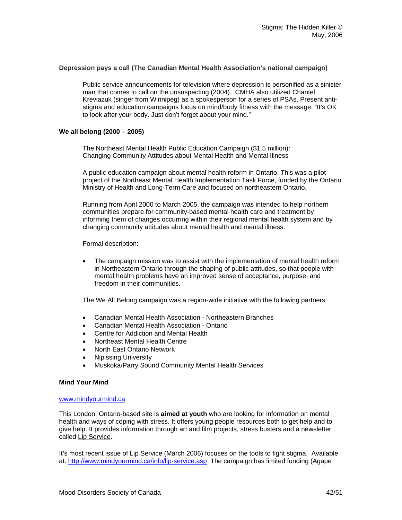#### **Depression pays a call (The Canadian Mental Health Association's national campaign)**

Public service announcements for television where depression is personified as a sinister man that comes to call on the unsuspecting (2004). CMHA also utilized Chantel Kreviazuk (singer from Winnipeg) as a spokesperson for a series of PSAs. Present antistigma and education campaigns focus on mind/body fitness with the message: "It's OK to look after your body. Just don't forget about your mind."

#### **We all belong (2000 – 2005)**

The Northeast Mental Health Public Education Campaign (\$1.5 million): Changing Community Attitudes about Mental Health and Mental Illness

A public education campaign about mental health reform in Ontario. This was a pilot project of the Northeast Mental Health Implementation Task Force, funded by the Ontario Ministry of Health and Long-Term Care and focused on northeastern Ontario.

[Running from April 2000 to March 2005, the campaign was intended to help northern](http://www.weallbelong.ca/)  [communities prepare for community-based mental health care and treatment by](http://www.weallbelong.ca/) [informing them of changes occurring within their regional mental health system and by](http://www.weallbelong.ca/)  [changing community attitudes about mental health and mental illness.](http://www.weallbelong.ca/) 

Formal description:

• The campaign mission was to assist with the implementation of mental health reform in Northeastern Ontario through the shaping of public attitudes, so that people with mental health problems have an improved sense of acceptance, purpose, and freedom in their communities.

The We All Belong campaign was a region-wide initiative with the following partners:

- Canadian Mental Health Association Northeastern Branches
- Canadian Mental Health Association Ontario
- Centre for Addiction and Mental Health
- Northeast Mental Health Centre
- North East Ontario Network
- Nipissing University
- Muskoka/Parry Sound Community Mental Health Services

#### **Mind Your Mind**

#### [www.mindyourmind.ca](http://www.mindyourmind.ca/)

This London, Ontario-based site is **aimed at youth** who are looking for information on mental health and ways of coping with stress. It offers young people resources both to get help and to give help. It provides information through art and film projects, stress busters and a newsletter called Lip Service.

It's most recent issue of Lip Service (March 2006) focuses on the tools to fight stigma. Available at: <http://www.mindyourmind.ca/info/lip-service.asp> The campaign has limited funding (Agape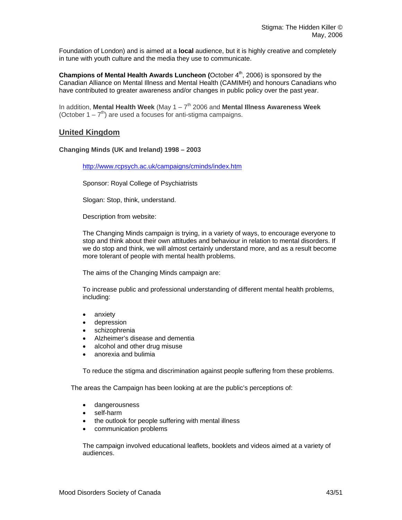Foundation of London) and is aimed at a **local** audience, but it is highly creative and completely in tune with youth culture and the media they use to communicate.

**Champions of Mental Health Awards Luncheon (October 4<sup>th</sup>, 2006) is sponsored by the** Canadian Alliance on Mental Illness and Mental Health (CAMIMH) and honours Canadians who have contributed to greater awareness and/or changes in public policy over the past year.

In addition, Mental Health Week (May 1 – 7<sup>th</sup> 2006 and Mental Illness Awareness Week (October  $1 - 7<sup>th</sup>$ ) are used a focuses for anti-stigma campaigns.

### **United Kingdom**

#### **Changing Minds (UK and Ireland) 1998 – 2003**

<http://www.rcpsych.ac.uk/campaigns/cminds/index.htm>

Sponsor: Royal College of Psychiatrists

Slogan: Stop, think, understand.

Description from website:

The Changing Minds campaign is trying, in a variety of ways, to encourage everyone to stop and think about their own attitudes and behaviour in relation to mental disorders. If we do stop and think, we will almost certainly understand more, and as a result become more tolerant of people with mental health problems.

The aims of the Changing Minds campaign are:

To increase public and professional understanding of different mental health problems, including:

- anxiety
- depression
- schizophrenia
- Alzheimer's disease and dementia
- alcohol and other drug misuse
- anorexia and bulimia

To reduce the stigma and discrimination against people suffering from these problems.

The areas the Campaign has been looking at are the public's perceptions of:

- dangerousness
- self-harm
- the outlook for people suffering with mental illness
- communication problems

The campaign involved educational leaflets, booklets and videos aimed at a variety of audiences.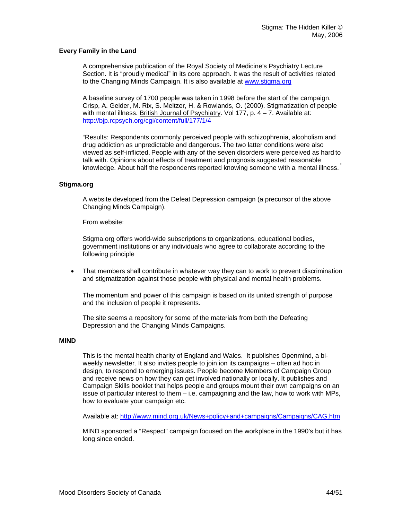#### **Every Family in the Land**

A comprehensive publication of the Royal Society of Medicine's Psychiatry Lecture Section. It is "proudly medical" in its core approach. It was the result of activities related to the Changing Minds Campaign. It is also available at [www.stigma.org](http://www.stigma.org/)

A baseline survey of 1700 people was taken in 1998 before the start of the campaign. Crisp, A. Gelder, M. Rix, S. Meltzer, H. & Rowlands, O. (2000). Stigmatization of people with mental illness. British Journal of Psychiatry. Vol 177, p.  $4 - 7$ . Available at: <http://bjp.rcpsych.org/cgi/content/full/177/1/4>

"Results: Respondents commonly perceived people with schizophrenia, alcoholism and drug addiction as unpredictable and dangerous. The two latter conditions were also viewed as self-inflicted. People with any of the seven disorders were perceived as hard to talk with. Opinions about effects of treatment and prognosis suggested reasonable knowledge. About half the respondents reported knowing someone with a mental illness.

#### **Stigma.org**

A website developed from the Defeat Depression campaign (a precursor of the above Changing Minds Campaign).

From website:

Stigma.org offers world-wide subscriptions to organizations, educational bodies, government institutions or any individuals who agree to collaborate according to the following principle

• That members shall contribute in whatever way they can to work to prevent discrimination and stigmatization against those people with physical and mental health problems.

The momentum and power of this campaign is based on its united strength of purpose and the inclusion of people it represents.

The site seems a repository for some of the materials from both the Defeating Depression and the Changing Minds Campaigns.

#### **MIND**

This is the mental health charity of England and Wales. It publishes Openmind, a biweekly newsletter. It also invites people to join ion its campaigns – often ad hoc in design, to respond to emerging issues. People become Members of Campaign Group and receive news on how they can get involved nationally or locally. It publishes and Campaign Skills booklet that helps people and groups mount their own campaigns on an issue of particular interest to them  $-$  i.e. campaigning and the law, how to work with MPs, how to evaluate your campaign etc.

Available at:<http://www.mind.org.uk/News+policy+and+campaigns/Campaigns/CAG.htm>

MIND sponsored a "Respect" campaign focused on the workplace in the 1990's but it has long since ended.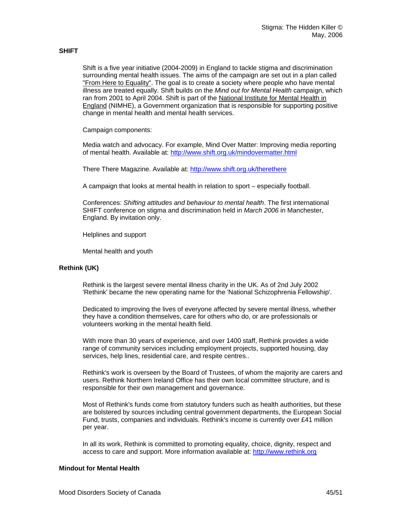#### **SHIFT**

Shift is a five year initiative (2004-2009) in England to tackle stigma and discrimination surrounding mental health issues. The aims of the campaign are set out in a plan called ["From Here to Equality"](http://kc.nimhe.org.uk/upload/FIVE YEAR STIGMA AND DISC PLAN.pdf). The goal is to create a society where people who have mental illness are treated equally. Shift builds on the *M*i*nd out for Mental Health* campaign, which ran from 2001 to April 2004. Shift is part of the [National Institute for Mental Health in](http://www.nimhe.org.uk/)  [England](http://www.nimhe.org.uk/) (NIMHE), a Government organization that is responsible for supporting positive change in mental health and mental health services.

Campaign components:

Media watch and advocacy. For example, Mind Over Matter: Improving media reporting of mental health. Available at: <http://www.shift.org.uk/mindovermatter.html>

There There Magazine. Available at:<http://www.shift.org.uk/therethere>

A campaign that looks at mental health in relation to sport – especially football.

Conferences: *Shifting attitudes and behaviour to mental health*. The first international SHIFT conference on stigma and discrimination held in *March 2006* in Manchester, England. By invitation only.

Helplines and support

Mental health and youth

#### **Rethink (UK)**

Rethink is the largest severe mental illness charity in the UK. As of 2nd July 2002 'Rethink' became the new operating name for the 'National Schizophrenia Fellowship'.

Dedicated to improving the lives of everyone affected by severe mental illness, whether they have a condition themselves, care for others who do, or are professionals or volunteers working in the mental health field.

With more than 30 years of experience, and over 1400 staff, Rethink provides a wide range of community services including employment projects, supported housing, day services, help lines, residential care, and respite centres..

Rethink's work is overseen by the Board of Trustees, of whom the majority are carers and users. Rethink Northern Ireland Office has their own local committee structure, and is responsible for their own management and governance.

Most of Rethink's funds come from statutory funders such as health authorities, but these are bolstered by sources including central government departments, the European Social Fund, trusts, companies and individuals. Rethink's income is currently over £41 million per year.

In all its work, Rethink is committed to promoting equality, choice, dignity, respect and access to care and support. More information available at: [http://www.rethink.org](http://www.rethink.org/)

#### **Mindout for Mental Health**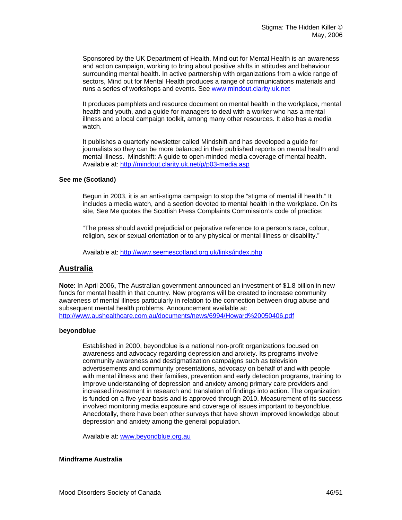Sponsored by the UK Department of Health, Mind out for Mental Health is an awareness and action campaign, working to bring about positive shifts in attitudes and behaviour surrounding mental health. In active partnership with organizations from a wide range of sectors, Mind out for Mental Health produces a range of communications materials and runs a series of workshops and events. See [www.mindout.clarity.uk.net](http://www.mindout.clarity.uk.net/) 

It produces pamphlets and resource document on mental health in the workplace, mental health and youth, and a guide for managers to deal with a worker who has a mental illness and a local campaign toolkit, among many other resources. It also has a media watch.

It publishes a quarterly newsletter called Mindshift and has developed a guide for journalists so they can be more balanced in their published reports on mental health and mental illness. Mindshift: A guide to open-minded media coverage of mental health. Available at:<http://mindout.clarity.uk.net/p/p03-media.asp>

#### **See me (Scotland)**

Begun in 2003, it is an anti-stigma campaign to stop the "stigma of mental ill health." It includes a media watch, and a section devoted to mental health in the workplace. On its site, See Me quotes the Scottish Press Complaints Commission's code of practice:

"The press should avoid prejudicial or pejorative reference to a person's race, colour, religion, sex or sexual orientation or to any physical or mental illness or disability."

Available at:<http://www.seemescotland.org.uk/links/index.php>

#### **Australia**

**Note**: In April 2006**,** The Australian government announced an investment of \$1.8 billion in new funds for mental health in that country. New programs will be created to increase community awareness of mental illness particularly in relation to the connection between drug abuse and subsequent mental health problems. Announcement available at: [http://www.aushealthcare.com.au/documents/news/6994/Howard%20050406.pdf](http://www.aushealthcare.com.au/documents/news/6994/Howard 050406.pdf)

#### **beyondblue**

Established in 2000, beyondblue is a national non-profit organizations focused on awareness and advocacy regarding depression and anxiety. Its programs involve community awareness and destigmatization campaigns such as television advertisements and community presentations, advocacy on behalf of and with people with mental illness and their families, prevention and early detection programs, training to improve understanding of depression and anxiety among primary care providers and increased investment in research and translation of findings into action. The organization is funded on a five-year basis and is approved through 2010. Measurement of its success involved monitoring media exposure and coverage of issues important to beyondblue. Anecdotally, there have been other surveys that have shown improved knowledge about depression and anxiety among the general population.

Available at: [www.beyondblue.org.au](http://www.beyondblue.org.au/) 

#### **Mindframe Australia**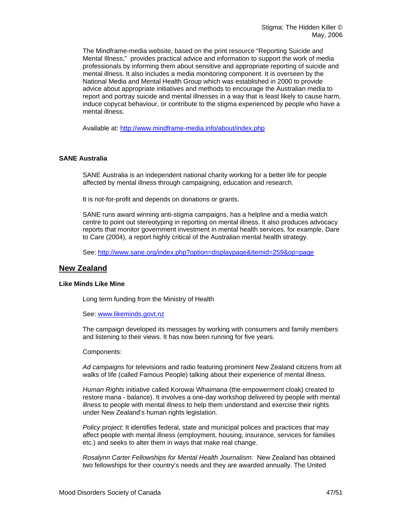The Mindframe-media website, based on the print resource "Reporting Suicide and Mental Illness," provides practical advice and information to support the work of media professionals by informing them about sensitive and appropriate reporting of suicide and mental illness. It also includes a media monitoring component. It is overseen by the National Media and Mental Health Group which was established in 2000 to provide advice about appropriate initiatives and methods to encourage the Australian media to report and portray suicide and mental illnesses in a way that is least likely to cause harm, induce copycat behaviour, or contribute to the stigma experienced by people who have a mental illness.

Available at:<http://www.mindframe-media.info/about/index.php>

#### **SANE Australia**

SANE Australia is an independent national charity working for a better life for people affected by mental illness through [campaigning, education and research.](http://www.sane.org/index.php?option=displaypage&Itemid=206&op=page) 

It is not-for-profit and depends on donations or grants.

SANE runs award winning anti-stigma campaigns, has a helpline and a media watch centre to point out stereotyping in reporting on mental illness. It also produces advocacy reports that monitor government investment in mental health services, for example, Dare to Care (2004), a report highly critical of the Australian mental health strategy.

See:<http://www.sane.org/index.php?option=displaypage&Itemid=259&op=page>

#### **New Zealand**

#### **Like Minds Like Mine**

Long term funding from the Ministry of Health

#### See: [www.likeminds.govt.nz](http://www.likeminds.govt.nz/)

The campaign developed its messages by working with consumers and family members and listening to their views. It has now been running for five years.

#### Components:

*Ad campaigns* for televisions and radio featuring prominent New Zealand citizens from all walks of life (called Famous People) talking about their experience of mental illness.

*Human Rights* initiative called Korowai Whaimana (the empowerment cloak) created to restore mana - balance). It involves a one-day workshop delivered by people with mental illness to people with mental illness to help them understand and exercise their rights under New Zealand's human rights legislation.

*Policy project*: It identifies federal, state and municipal polices and practices that may affect people with mental illness (employment, housing, insurance, services for families etc.) and seeks to alter them in ways that make real change.

*Rosalynn Carter Fellowships for Mental Health Journalism*: New Zealand has obtained two fellowships for their country's needs and they are awarded annually. The United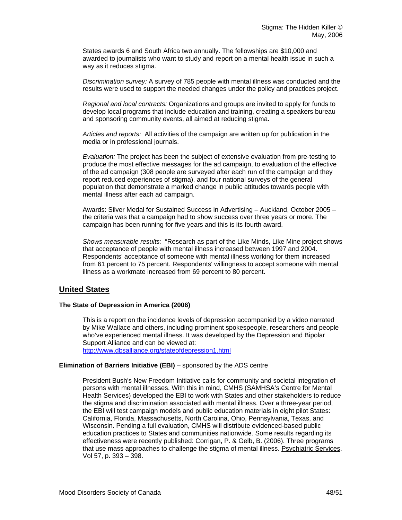States awards 6 and South Africa two annually. The fellowships are \$10,000 and awarded to journalists who want to study and report on a mental health issue in such a way as it reduces stigma.

*Discrimination survey:* A survey of 785 people with mental illness was conducted and the results were used to support the needed changes under the policy and practices project.

*Regional and local contracts:* Organizations and groups are invited to apply for funds to develop local programs that include education and training, creating a speakers bureau and sponsoring community events, all aimed at reducing stigma.

*Articles and reports:* All activities of the campaign are written up for publication in the media or in professional journals.

*Evaluation:* The project has been the subject of extensive evaluation from pre-testing to produce the most effective messages for the ad campaign, to evaluation of the effective of the ad campaign (308 people are surveyed after each run of the campaign and they report reduced experiences of stigma), and four national surveys of the general population that demonstrate a marked change in public attitudes towards people with mental illness after each ad campaign.

Awards: Silver Medal for Sustained Success in Advertising – Auckland, October 2005 – the criteria was that a campaign had to show success over three years or more. The campaign has been running for five years and this is its fourth award.

*Shows measurable results:* "Research as part of the Like Minds, Like Mine project shows that acceptance of people with mental illness increased between 1997 and 2004. Respondents' acceptance of someone with mental illness working for them increased from 61 percent to 75 percent. Respondents' willingness to accept someone with mental illness as a workmate increased from 69 percent to 80 percent.

### **United States**

#### **The State of Depression in America (2006)**

This is a report on the incidence levels of depression accompanied by a video narrated by Mike Wallace and others, including prominent spokespeople, researchers and people who've experienced mental illness. It was developed by the Depression and Bipolar Support Alliance and can be viewed at: <http://www.dbsalliance.org/stateofdepression1.html>

#### **Elimination of Barriers Initiative (EBI)** – sponsored by the ADS centre

President Bush's New Freedom Initiative calls for community and societal integration of persons with mental illnesses. With this in mind, CMHS (SAMHSA's Centre for Mental Health Services) developed the EBI to work with States and other stakeholders to reduce the stigma and discrimination associated with mental illness. Over a three-year period, the EBI will test campaign models and public education materials in eight pilot States: California, Florida, Massachusetts, North Carolina, Ohio, Pennsylvania, Texas, and Wisconsin. Pending a full evaluation, CMHS will distribute evidenced-based public education practices to States and communities nationwide. Some results regarding its effectiveness were recently published: Corrigan, P. & Gelb, B. (2006). Three programs that use mass approaches to challenge the stigma of mental illness. Psychiatric Services. Vol 57, p. 393 – 398.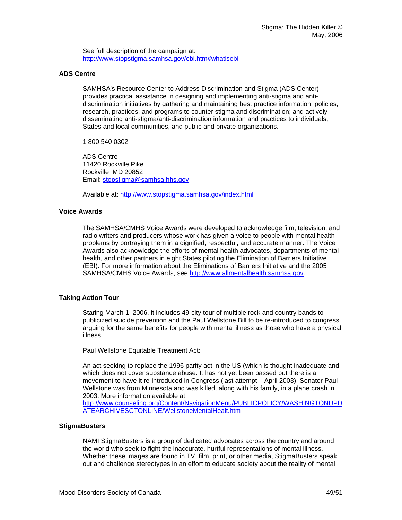See full description of the campaign at: http://www.stopstigma.samhsa.gov/ebi.htm#whatisebi

#### **ADS Centre**

SAMHSA's Resource Center to Address Discrimination and Stigma (ADS Center) provides practical assistance in designing and implementing anti-stigma and antidiscrimination initiatives by gathering and maintaining best practice information, policies, research, practices, and programs to counter stigma and discrimination; and actively disseminating anti-stigma/anti-discrimination information and practices to individuals, States and local communities, and public and private organizations.

1 800 540 0302

ADS Centre 11420 Rockville Pike Rockville, MD 20852 Email: [stopstigma@samhsa.hhs.gov](mailto:stopstigma@samhsa.hhs.gov) 

Available at:<http://www.stopstigma.samhsa.gov/index.html>

#### **Voice Awards**

The SAMHSA/CMHS Voice Awards were developed to acknowledge film, television, and radio writers and producers whose work has given a voice to people with mental health problems by portraying them in a dignified, respectful, and accurate manner. The Voice Awards also acknowledge the efforts of mental health advocates, departments of mental health, and other partners in eight States piloting the Elimination of Barriers Initiative (EBI). For more information about the Eliminations of Barriers Initiative and the 2005 SAMHSA/CMHS Voice Awards, see [http://www.allmentalhealth.samhsa.gov](http://www.allmentalhealth.samhsa.gov/).

#### **Taking Action Tour**

Staring March 1, 2006, it includes 49-city tour of multiple rock and country bands to publicized suicide prevention and the Paul Wellstone Bill to be re-introduced to congress arguing for the same benefits for people with mental illness as those who have a physical illness.

Paul Wellstone Equitable Treatment Act:

An act seeking to replace the 1996 parity act in the US (which is thought inadequate and which does not cover substance abuse. It has not yet been passed but there is a movement to have it re-introduced in Congress (last attempt – April 2003). Senator Paul Wellstone was from Minnesota and was killed, along with his family, in a plane crash in 2003. More information available at:

[http://www.counseling.org/Content/NavigationMenu/PUBLICPOLICY/WASHINGTONUPD](http://www.counseling.org/Content/NavigationMenu/PUBLICPOLICY/WASHINGTONUPDATEARCHIVESCTONLINE/WellstoneMentalHealt.htm) [ATEARCHIVESCTONLINE/WellstoneMentalHealt.htm](http://www.counseling.org/Content/NavigationMenu/PUBLICPOLICY/WASHINGTONUPDATEARCHIVESCTONLINE/WellstoneMentalHealt.htm) 

#### **StigmaBusters**

NAMI StigmaBusters is a group of dedicated advocates across the country and around the world who seek to fight the inaccurate, hurtful representations of mental illness. Whether these images are found in TV, film, print, or other media, StigmaBusters speak out and challenge stereotypes in an effort to educate society about the reality of mental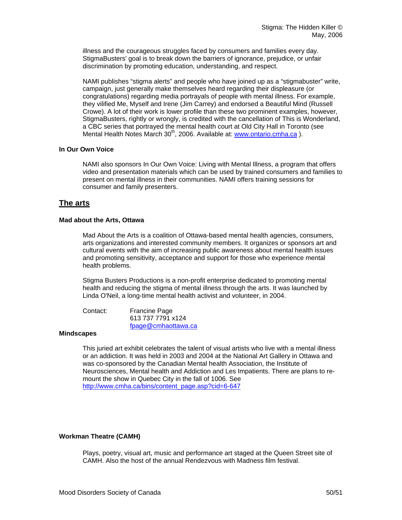illness and the courageous struggles faced by consumers and families every day. StigmaBusters' goal is to break down the barriers of ignorance, prejudice, or unfair discrimination by promoting education, understanding, and respect.

NAMI publishes "stigma alerts" and people who have joined up as a "stigmabuster" write, campaign, just generally make themselves heard regarding their displeasure (or congratulations) regarding media portrayals of people with mental illness. For example, they vilified Me, Myself and Irene (Jim Carrey) and endorsed a Beautiful Mind (Russell Crowe). A lot of their work is lower profile than these two prominent examples, however, StigmaBusters, rightly or wrongly, is credited with the cancellation of This is Wonderland, a CBC series that portrayed the mental health court at Old City Hall in Toronto (see Mental Health Notes March 30<sup>th</sup>, 2006. Available at: www.ontario.cmha.ca).

#### **In Our Own Voice**

NAMI also sponsors In Our Own Voice: Living with Mental Illness, a program that offers video and presentation materials which can be used by trained consumers and families to present on mental illness in their communities. NAMI offers training sessions for consumer and family presenters.

#### **The arts**

#### **Mad about the Arts, Ottawa**

Mad About the Arts is a coalition of Ottawa-based mental health agencies, consumers, arts organizations and interested community members. It organizes or sponsors art and cultural events with the aim of increasing public awareness about mental health issues and promoting sensitivity, acceptance and support for those who experience mental health problems.

Stigma Busters Productions is a non-profit enterprise dedicated to promoting mental health and reducing the stigma of mental illness through the arts. It was launched by Linda O'Neil, a long-time mental health activist and volunteer, in 2004.

Contact: Francine Page 613 737 7791 x124 [fpage@cmhaottawa.ca](mailto:fpage@cmhaottawa.ca)

#### **Mindscapes**

This juried art exhibit celebrates the talent of visual artists who live with a mental illness or an addiction. It was held in 2003 and 2004 at the National Art Gallery in Ottawa and was co-sponsored by the Canadian Mental health Association, the Institute of Neurosciences, Mental health and Addiction and Les Impatients. There are plans to remount the show in Quebec City in the fall of 1006. See http://www.cmha.ca/bins/content\_page.asp?cid=6-647

#### **Workman Theatre (CAMH)**

Plays, poetry, visual art, music and performance art staged at the Queen Street site of CAMH. Also the host of the annual Rendezvous with Madness film festival.